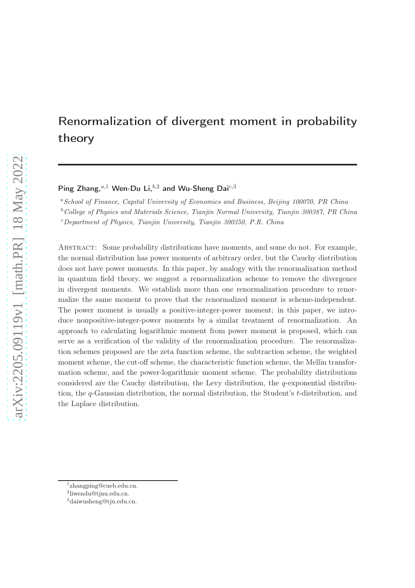# Renormalization of divergent moment in probability theory

Ping Zhang, $a,1$  Wen-Du Li, $b,2$  and Wu-Sheng Dai<sup>c, 3</sup>

<sup>a</sup> School of Finance, Capital University of Economics and Business, Beijing 100070, PR China

 $b$ <sup>b</sup>College of Physics and Materials Science, Tianjin Normal University, Tianjin 300387, PR China

<sup>c</sup>Department of Physics, Tianjin University, Tianjin 300350, P.R. China

Abstract: Some probability distributions have moments, and some do not. For example, the normal distribution has power moments of arbitrary order, but the Cauchy distribution does not have power moments. In this paper, by analogy with the renormalization method in quantum field theory, we suggest a renormalization scheme to remove the divergence in divergent moments. We establish more than one renormalization procedure to renormalize the same moment to prove that the renormalized moment is scheme-independent. The power moment is usually a positive-integer-power moment; in this paper, we introduce nonpositive-integer-power moments by a similar treatment of renormalization. An approach to calculating logarithmic moment from power moment is proposed, which can serve as a verification of the validity of the renormalization procedure. The renormalization schemes proposed are the zeta function scheme, the subtraction scheme, the weighted moment scheme, the cut-off scheme, the characteristic function scheme, the Mellin transformation scheme, and the power-logarithmic moment scheme. The probability distributions considered are the Cauchy distribution, the Levy distribution, the q-exponential distribution, the q-Gaussian distribution, the normal distribution, the Student's t-distribution, and the Laplace distribution.

<sup>&</sup>lt;sup>1</sup>zhangping@cueb.edu.cn.

<sup>2</sup> liwendu@tjnu.edu.cn.

<sup>3</sup>daiwusheng@tju.edu.cn.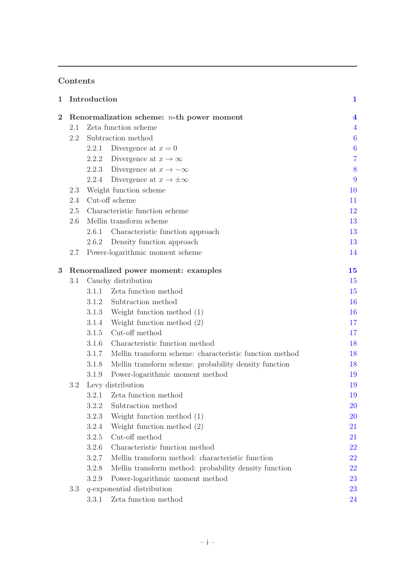# Contents

| $\mathbf 1$    |     | Introduction      |                                                               | $\mathbf{1}$     |
|----------------|-----|-------------------|---------------------------------------------------------------|------------------|
| $\overline{2}$ |     |                   | Renormalization scheme: $n$ -th power moment                  | 4                |
|                | 2.1 |                   | Zeta function scheme                                          | $\overline{4}$   |
|                | 2.2 |                   | Subtraction method                                            | $\boldsymbol{6}$ |
|                |     | 2.2.1             | Divergence at $x=0$                                           | $\boldsymbol{6}$ |
|                |     |                   | 2.2.2 Divergence at $x \to \infty$                            | $\overline{7}$   |
|                |     | 2.2.3             | Divergence at $x \to -\infty$                                 | 8                |
|                |     |                   | 2.2.4 Divergence at $x \to \pm \infty$                        | 9                |
|                | 2.3 |                   | Weight function scheme                                        | 10               |
|                | 2.4 | Cut-off scheme    |                                                               |                  |
|                | 2.5 |                   | Characteristic function scheme                                | 12               |
|                | 2.6 |                   | Mellin transform scheme                                       | 13               |
|                |     | 2.6.1             | Characteristic function approach                              | 13               |
|                |     |                   | 2.6.2 Density function approach                               | 13               |
|                | 2.7 |                   | Power-logarithmic moment scheme                               | 14               |
| 3              |     |                   | Renormalized power moment: examples                           | 15               |
|                | 3.1 |                   | Cauchy distribution                                           | 15               |
|                |     |                   | 3.1.1 Zeta function method                                    | 15               |
|                |     |                   | 3.1.2 Subtraction method                                      | 16               |
|                |     | 3.1.3             | Weight function method (1)                                    | 16               |
|                |     | 3.1.4             | Weight function method (2)                                    | 17               |
|                |     | 3.1.5             | Cut-off method                                                | 17               |
|                |     |                   | 3.1.6 Characteristic function method                          | 18               |
|                |     |                   | 3.1.7 Mellin transform scheme: characteristic function method | 18               |
|                |     | 3.1.8             | Mellin transform scheme: probability density function         | 18               |
|                |     | 3.1.9             | Power-logarithmic moment method                               | 19               |
|                | 3.2 | Levy distribution |                                                               |                  |
|                |     | 3.2.1             | Zeta function method                                          | 19               |
|                |     |                   | 3.2.2 Subtraction method                                      | 20               |
|                |     | 3.2.3             | Weight function method $(1)$                                  | <b>20</b>        |
|                |     | 3.2.4             | Weight function method $(2)$                                  | 21               |
|                |     | 3.2.5             | Cut-off method                                                | 21               |
|                |     | 3.2.6             | Characteristic function method                                | 22               |
|                |     | 3.2.7             | Mellin transform method: characteristic function              | 22               |
|                |     | 3.2.8             | Mellin transform method: probability density function         | <b>22</b>        |
|                |     | 3.2.9             | Power-logarithmic moment method                               | 23               |
|                | 3.3 |                   | $q$ -exponential distribution                                 | 23               |
|                |     | 3.3.1             | Zeta function method                                          | 24               |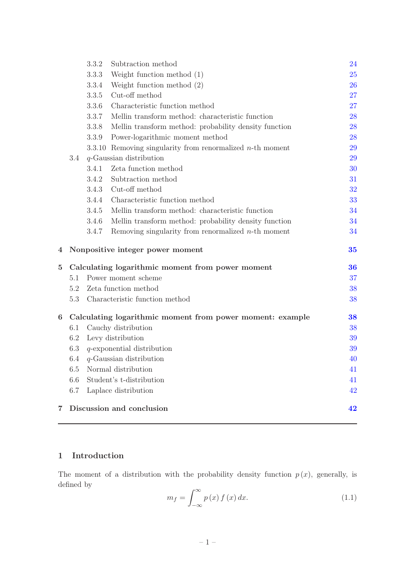|     | 3.3.2 | Subtraction method                                        | 24                                                                                                                             |
|-----|-------|-----------------------------------------------------------|--------------------------------------------------------------------------------------------------------------------------------|
|     | 3.3.3 | Weight function method $(1)$                              | 25                                                                                                                             |
|     | 3.3.4 | Weight function method $(2)$                              | 26                                                                                                                             |
|     | 3.3.5 | Cut-off method                                            | 27                                                                                                                             |
|     | 3.3.6 | Characteristic function method                            | 27                                                                                                                             |
|     | 3.3.7 | Mellin transform method: characteristic function          | 28                                                                                                                             |
|     | 3.3.8 | Mellin transform method: probability density function     | 28                                                                                                                             |
|     | 3.3.9 | Power-logarithmic moment method                           | 28                                                                                                                             |
|     |       |                                                           | 29                                                                                                                             |
| 3.4 |       |                                                           | 29                                                                                                                             |
|     | 3.4.1 | Zeta function method                                      | 30                                                                                                                             |
|     | 3.4.2 | Subtraction method                                        | 31                                                                                                                             |
|     | 3.4.3 | Cut-off method                                            | 32                                                                                                                             |
|     | 3.4.4 | Characteristic function method                            | 33                                                                                                                             |
|     | 3.4.5 | Mellin transform method: characteristic function          | 34                                                                                                                             |
|     | 3.4.6 | Mellin transform method: probability density function     | 34                                                                                                                             |
|     | 3.4.7 | Removing singularity from renormalized $n$ -th moment     | 34                                                                                                                             |
|     |       |                                                           | 35                                                                                                                             |
|     |       |                                                           |                                                                                                                                |
|     |       | Calculating logarithmic moment from power moment          | 36                                                                                                                             |
| 5.1 |       | Power moment scheme                                       | 37                                                                                                                             |
| 5.2 |       | Zeta function method                                      | 38                                                                                                                             |
| 5.3 |       | Characteristic function method                            | 38                                                                                                                             |
|     |       | Calculating logarithmic moment from power moment: example | 38                                                                                                                             |
| 6.1 |       | Cauchy distribution                                       | 38                                                                                                                             |
| 6.2 |       | Levy distribution                                         | 39                                                                                                                             |
| 6.3 |       | $q$ -exponential distribution                             | 39                                                                                                                             |
| 6.4 |       | $q$ -Gaussian distribution                                | 40                                                                                                                             |
| 6.5 |       | Normal distribution                                       | 41                                                                                                                             |
| 6.6 |       | Student's t-distribution                                  | 41                                                                                                                             |
| 6.7 |       | Laplace distribution                                      | 42                                                                                                                             |
|     |       |                                                           | 3.3.10 Removing singularity from renormalized $n$ -th moment<br>$q$ -Gaussian distribution<br>Nonpositive integer power moment |

# <span id="page-2-0"></span>1 Introduction

The moment of a distribution with the probability density function  $p(x)$ , generally, is defined by

<span id="page-2-1"></span>
$$
m_f = \int_{-\infty}^{\infty} p(x) f(x) dx.
$$
 (1.1)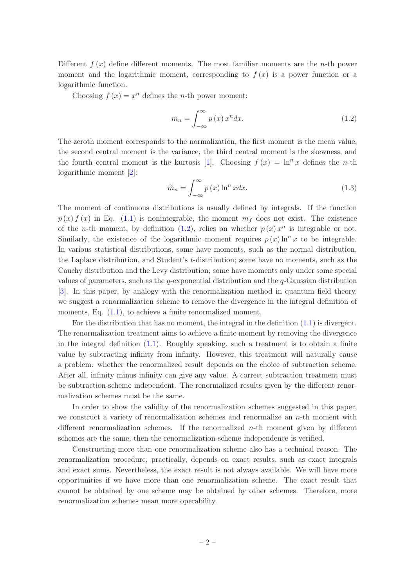Different  $f(x)$  define different moments. The most familiar moments are the *n*-th power moment and the logarithmic moment, corresponding to  $f(x)$  is a power function or a logarithmic function.

Choosing  $f(x) = x^n$  defines the *n*-th power moment:

<span id="page-3-0"></span>
$$
m_n = \int_{-\infty}^{\infty} p(x) x^n dx.
$$
 (1.2)

The zeroth moment corresponds to the normalization, the first moment is the mean value, the second central moment is the variance, the third central moment is the skewness, and the fourth central moment is the kurtosis [\[1\]](#page-45-0). Choosing  $f(x) = \ln^n x$  defines the *n*-th logarithmic moment [\[2\]](#page-45-1):

<span id="page-3-1"></span>
$$
\widetilde{m}_n = \int_{-\infty}^{\infty} p(x) \ln^n x dx.
$$
\n(1.3)

The moment of continuous distributions is usually defined by integrals. If the function  $p(x) f(x)$  in Eq. [\(1.1\)](#page-2-1) is nonintegrable, the moment  $m<sub>f</sub>$  does not exist. The existence of the *n*-th moment, by definition [\(1.2\)](#page-3-0), relies on whether  $p(x) x^n$  is integrable or not. Similarly, the existence of the logarithmic moment requires  $p(x) \ln^n x$  to be integrable. In various statistical distributions, some have moments, such as the normal distribution, the Laplace distribution, and Student's t-distribution; some have no moments, such as the Cauchy distribution and the Levy distribution; some have moments only under some special values of parameters, such as the q-exponential distribution and the  $q$ -Gaussian distribution [\[3\]](#page-45-2). In this paper, by analogy with the renormalization method in quantum field theory, we suggest a renormalization scheme to remove the divergence in the integral definition of moments, Eq.  $(1.1)$ , to achieve a finite renormalized moment.

For the distribution that has no moment, the integral in the definition [\(1.1\)](#page-2-1) is divergent. The renormalization treatment aims to achieve a finite moment by removing the divergence in the integral definition [\(1.1\)](#page-2-1). Roughly speaking, such a treatment is to obtain a finite value by subtracting infinity from infinity. However, this treatment will naturally cause a problem: whether the renormalized result depends on the choice of subtraction scheme. After all, infinity minus infinity can give any value. A correct subtraction treatment must be subtraction-scheme independent. The renormalized results given by the different renormalization schemes must be the same.

In order to show the validity of the renormalization schemes suggested in this paper, we construct a variety of renormalization schemes and renormalize an  $n$ -th moment with different renormalization schemes. If the renormalized  $n$ -th moment given by different schemes are the same, then the renormalization-scheme independence is verified.

Constructing more than one renormalization scheme also has a technical reason. The renormalization procedure, practically, depends on exact results, such as exact integrals and exact sums. Nevertheless, the exact result is not always available. We will have more opportunities if we have more than one renormalization scheme. The exact result that cannot be obtained by one scheme may be obtained by other schemes. Therefore, more renormalization schemes mean more operability.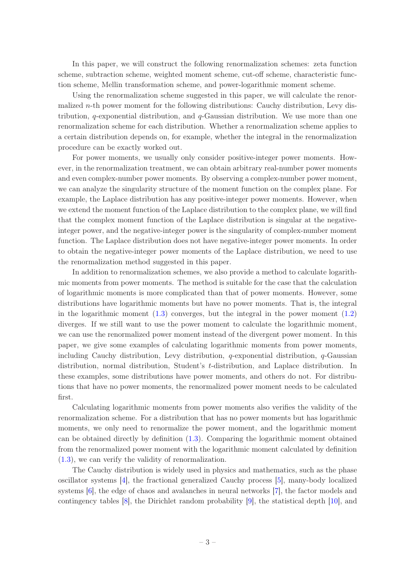In this paper, we will construct the following renormalization schemes: zeta function scheme, subtraction scheme, weighted moment scheme, cut-off scheme, characteristic function scheme, Mellin transformation scheme, and power-logarithmic moment scheme.

Using the renormalization scheme suggested in this paper, we will calculate the renormalized n-th power moment for the following distributions: Cauchy distribution, Levy distribution,  $q$ -exponential distribution, and  $q$ -Gaussian distribution. We use more than one renormalization scheme for each distribution. Whether a renormalization scheme applies to a certain distribution depends on, for example, whether the integral in the renormalization procedure can be exactly worked out.

For power moments, we usually only consider positive-integer power moments. However, in the renormalization treatment, we can obtain arbitrary real-number power moments and even complex-number power moments. By observing a complex-number power moment, we can analyze the singularity structure of the moment function on the complex plane. For example, the Laplace distribution has any positive-integer power moments. However, when we extend the moment function of the Laplace distribution to the complex plane, we will find that the complex moment function of the Laplace distribution is singular at the negativeinteger power, and the negative-integer power is the singularity of complex-number moment function. The Laplace distribution does not have negative-integer power moments. In order to obtain the negative-integer power moments of the Laplace distribution, we need to use the renormalization method suggested in this paper.

In addition to renormalization schemes, we also provide a method to calculate logarithmic moments from power moments. The method is suitable for the case that the calculation of logarithmic moments is more complicated than that of power moments. However, some distributions have logarithmic moments but have no power moments. That is, the integral in the logarithmic moment  $(1.3)$  converges, but the integral in the power moment  $(1.2)$ diverges. If we still want to use the power moment to calculate the logarithmic moment, we can use the renormalized power moment instead of the divergent power moment. In this paper, we give some examples of calculating logarithmic moments from power moments, including Cauchy distribution, Levy distribution,  $q$ -exponential distribution,  $q$ -Gaussian distribution, normal distribution, Student's t-distribution, and Laplace distribution. In these examples, some distributions have power moments, and others do not. For distributions that have no power moments, the renormalized power moment needs to be calculated first.

Calculating logarithmic moments from power moments also verifies the validity of the renormalization scheme. For a distribution that has no power moments but has logarithmic moments, we only need to renormalize the power moment, and the logarithmic moment can be obtained directly by definition [\(1.3\)](#page-3-1). Comparing the logarithmic moment obtained from the renormalized power moment with the logarithmic moment calculated by definition [\(1.3\)](#page-3-1), we can verify the validity of renormalization.

The Cauchy distribution is widely used in physics and mathematics, such as the phase oscillator systems [\[4](#page-45-3)], the fractional generalized Cauchy process [\[5\]](#page-45-4), many-body localized systems [\[6\]](#page-45-5), the edge of chaos and avalanches in neural networks [\[7](#page-45-6)], the factor models and contingency tables [\[8](#page-45-7)], the Dirichlet random probability [\[9](#page-45-8)], the statistical depth [\[10](#page-45-9)], and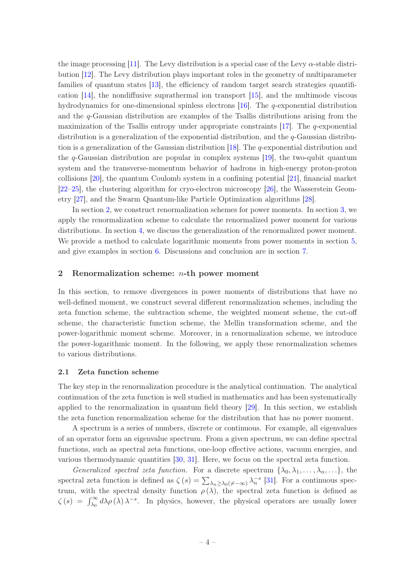the image processing [\[11\]](#page-46-0). The Levy distribution is a special case of the Levy  $\alpha$ -stable distribution [\[12\]](#page-46-1). The Levy distribution plays important roles in the geometry of multiparameter families of quantum states [\[13\]](#page-46-2), the efficiency of random target search strategies quantification [\[14\]](#page-46-3), the nondiffusive suprathermal ion transport [\[15\]](#page-46-4), and the multimode viscous hydrodynamics for one-dimensional spinless electrons [\[16\]](#page-46-5). The q-exponential distribution and the  $q$ -Gaussian distribution are examples of the Tsallis distributions arising from the maximization of the Tsallis entropy under appropriate constraints [\[17\]](#page-46-6). The  $q$ -exponential distribution is a generalization of the exponential distribution, and the  $q$ -Gaussian distribution is a generalization of the Gaussian distribution [\[18](#page-46-7)]. The q-exponential distribution and the  $q$ -Gaussian distribution are popular in complex systems [\[19\]](#page-46-8), the two-qubit quantum system and the transverse-momentum behavior of hadrons in high-energy proton-proton collisions [\[20](#page-46-9)], the quantum Coulomb system in a confining potential [\[21](#page-46-10)], financial market [\[22](#page-46-11)[–25](#page-46-12)], the clustering algorithm for cryo-electron microscopy [\[26\]](#page-46-13), the Wasserstein Geometry [\[27\]](#page-46-14), and the Swarm Quantum-like Particle Optimization algorithms [\[28](#page-46-15)].

In section [2,](#page-5-0) we construct renormalization schemes for power moments. In section [3,](#page-16-0) we apply the renormalization scheme to calculate the renormalized power moment for various distributions. In section [4,](#page-36-0) we discuss the generalization of the renormalized power moment. We provide a method to calculate logarithmic moments from power moments in section [5,](#page-37-0) and give examples in section [6.](#page-39-2) Discussions and conclusion are in section [7.](#page-43-1)

# <span id="page-5-0"></span>2 Renormalization scheme:  $n$ -th power moment

In this section, to remove divergences in power moments of distributions that have no well-defined moment, we construct several different renormalization schemes, including the zeta function scheme, the subtraction scheme, the weighted moment scheme, the cut-off scheme, the characteristic function scheme, the Mellin transformation scheme, and the power-logarithmic moment scheme. Moreover, in a renormalization scheme, we introduce the power-logarithmic moment. In the following, we apply these renormalization schemes to various distributions.

# <span id="page-5-1"></span>2.1 Zeta function scheme

The key step in the renormalization procedure is the analytical continuation. The analytical continuation of the zeta function is well studied in mathematics and has been systematically applied to the renormalization in quantum field theory [\[29\]](#page-47-0). In this section, we establish the zeta function renormalization scheme for the distribution that has no power moment.

A spectrum is a series of numbers, discrete or continuous. For example, all eigenvalues of an operator form an eigenvalue spectrum. From a given spectrum, we can define spectral functions, such as spectral zeta functions, one-loop effective actions, vacuum energies, and various thermodynamic quantities [\[30](#page-47-1), [31\]](#page-47-2). Here, we focus on the spectral zeta function.

Generalized spectral zeta function. For a discrete spectrum  $\{\lambda_0, \lambda_1, \ldots, \lambda_n, \ldots\}$ , the spectral zeta function is defined as  $\zeta(s) = \sum_{\lambda_n \geq \lambda_0(\neq -\infty)} \lambda_n^{-s}$  [\[31\]](#page-47-2). For a continuous spectrum, with the spectral density function  $\rho(\lambda)$ , the spectral zeta function is defined as  $\zeta(s) = \int_{\lambda_0}^{\infty} d\lambda \rho(\lambda) \lambda^{-s}$ . In physics, however, the physical operators are usually lower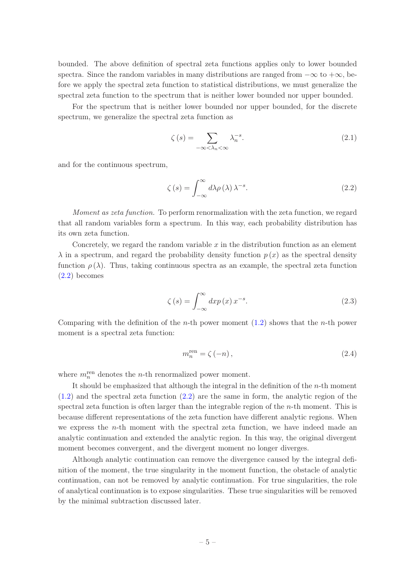bounded. The above definition of spectral zeta functions applies only to lower bounded spectra. Since the random variables in many distributions are ranged from  $-\infty$  to  $+\infty$ , before we apply the spectral zeta function to statistical distributions, we must generalize the spectral zeta function to the spectrum that is neither lower bounded nor upper bounded.

For the spectrum that is neither lower bounded nor upper bounded, for the discrete spectrum, we generalize the spectral zeta function as

$$
\zeta(s) = \sum_{-\infty < \lambda_n < \infty} \lambda_n^{-s}.\tag{2.1}
$$

and for the continuous spectrum,

<span id="page-6-0"></span>
$$
\zeta(s) = \int_{-\infty}^{\infty} d\lambda \rho(\lambda) \lambda^{-s}.
$$
 (2.2)

Moment as zeta function. To perform renormalization with the zeta function, we regard that all random variables form a spectrum. In this way, each probability distribution has its own zeta function.

Concretely, we regard the random variable  $x$  in the distribution function as an element  $\lambda$  in a spectrum, and regard the probability density function  $p(x)$  as the spectral density function  $\rho(\lambda)$ . Thus, taking continuous spectra as an example, the spectral zeta function [\(2.2\)](#page-6-0) becomes

$$
\zeta(s) = \int_{-\infty}^{\infty} dx p(x) x^{-s}.
$$
\n(2.3)

Comparing with the definition of the *n*-th power moment  $(1.2)$  shows that the *n*-th power moment is a spectral zeta function:

<span id="page-6-1"></span>
$$
m_n^{\text{ren}} = \zeta(-n),\tag{2.4}
$$

where  $m_n^{\text{ren}}$  denotes the *n*-th renormalized power moment.

It should be emphasized that although the integral in the definition of the  $n$ -th moment [\(1.2\)](#page-3-0) and the spectral zeta function [\(2.2\)](#page-6-0) are the same in form, the analytic region of the spectral zeta function is often larger than the integrable region of the  $n$ -th moment. This is because different representations of the zeta function have different analytic regions. When we express the n-th moment with the spectral zeta function, we have indeed made an analytic continuation and extended the analytic region. In this way, the original divergent moment becomes convergent, and the divergent moment no longer diverges.

Although analytic continuation can remove the divergence caused by the integral definition of the moment, the true singularity in the moment function, the obstacle of analytic continuation, can not be removed by analytic continuation. For true singularities, the role of analytical continuation is to expose singularities. These true singularities will be removed by the minimal subtraction discussed later.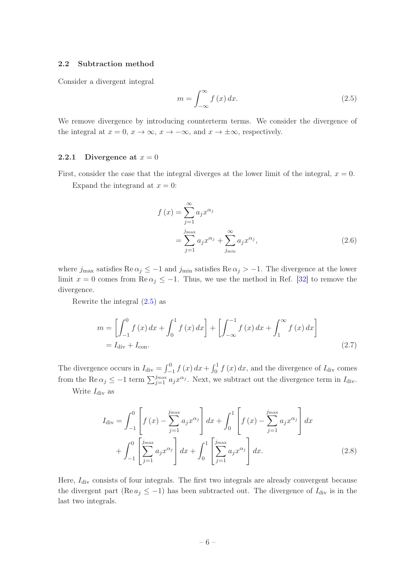# <span id="page-7-0"></span>2.2 Subtraction method

Consider a divergent integral

<span id="page-7-2"></span>
$$
m = \int_{-\infty}^{\infty} f(x) dx.
$$
 (2.5)

We remove divergence by introducing counterterm terms. We consider the divergence of the integral at  $x = 0$ ,  $x \to \infty$ ,  $x \to -\infty$ , and  $x \to \pm\infty$ , respectively.

# <span id="page-7-1"></span>2.2.1 Divergence at  $x = 0$

First, consider the case that the integral diverges at the lower limit of the integral,  $x = 0$ . Expand the integrand at  $x = 0$ :

<span id="page-7-3"></span>
$$
f(x) = \sum_{j=1}^{\infty} a_j x^{\alpha_j}
$$
  
= 
$$
\sum_{j=1}^{j_{\text{max}}} a_j x^{\alpha_j} + \sum_{j_{\text{min}}}^{\infty} a_j x^{\alpha_j},
$$
 (2.6)

where  $j_{\text{max}}$  satisfies Re  $\alpha_j \leq -1$  and  $j_{\text{min}}$  satisfies Re  $\alpha_j > -1$ . The divergence at the lower limit  $x = 0$  comes from  $\text{Re}\,\alpha_i \leq -1$ . Thus, we use the method in Ref. [\[32](#page-47-3)] to remove the divergence.

Rewrite the integral [\(2.5\)](#page-7-2) as

$$
m = \left[ \int_{-1}^{0} f(x) dx + \int_{0}^{1} f(x) dx \right] + \left[ \int_{-\infty}^{-1} f(x) dx + \int_{1}^{\infty} f(x) dx \right]
$$
  
=  $I_{\text{div}} + I_{\text{con}}.$  (2.7)

The divergence occurs in  $I_{\text{div}} = \int_{-}^{0}$  $\int_{-1}^{0} f(x) dx + \int_{0}^{1} f(x) dx$ , and the divergence of  $I_{\text{div}}$  comes from the Re  $\alpha_j \leq -1$  term  $\sum_{j=1}^{j_{\text{max}}} a_j x^{\alpha_j}$ . Next, we subtract out the divergence term in  $I_{\text{div}}$ .

Write  $I_{\text{div}}$  as

$$
I_{\rm div} = \int_{-1}^{0} \left[ f(x) - \sum_{j=1}^{j_{\rm max}} a_j x^{\alpha_j} \right] dx + \int_{0}^{1} \left[ f(x) - \sum_{j=1}^{j_{\rm max}} a_j x^{\alpha_j} \right] dx + \int_{-1}^{0} \left[ \sum_{j=1}^{j_{\rm max}} a_j x^{\alpha_j} \right] dx + \int_{0}^{1} \left[ \sum_{j=1}^{j_{\rm max}} a_j x^{\alpha_j} \right] dx.
$$
 (2.8)

Here,  $I_{\text{div}}$  consists of four integrals. The first two integrals are already convergent because the divergent part (Re  $a_j \leq -1$ ) has been subtracted out. The divergence of  $I_{\text{div}}$  is in the last two integrals.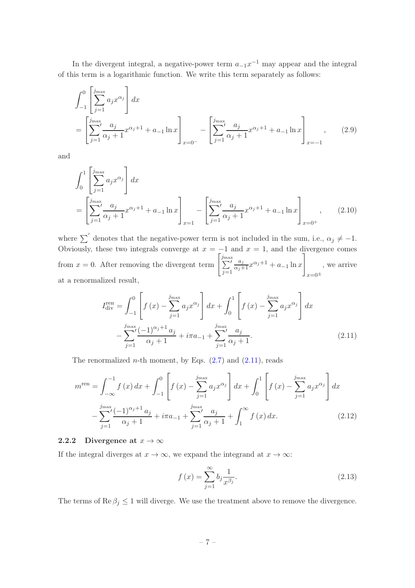In the divergent integral, a negative-power term  $a_{-1}x^{-1}$  may appear and the integral of this term is a logarithmic function. We write this term separately as follows:

$$
\int_{-1}^{0} \left[ \sum_{j=1}^{j_{\text{max}}} a_j x^{\alpha_j} \right] dx
$$
\n
$$
= \left[ \sum_{j=1}^{j_{\text{max}}} \frac{a_j}{\alpha_j + 1} x^{\alpha_j + 1} + a_{-1} \ln x \right]_{x=0^-} - \left[ \sum_{j=1}^{j_{\text{max}}} \frac{a_j}{\alpha_j + 1} x^{\alpha_j + 1} + a_{-1} \ln x \right]_{x=-1}, \quad (2.9)
$$

and

$$
\int_{0}^{1} \left[ \sum_{j=1}^{j_{\text{max}}} a_{j} x^{\alpha_{j}} \right] dx
$$
\n
$$
= \left[ \sum_{j=1}^{j_{\text{max}}} \frac{a_{j}}{\alpha_{j} + 1} x^{\alpha_{j} + 1} + a_{-1} \ln x \right]_{x=1} - \left[ \sum_{j=1}^{j_{\text{max}}} \frac{a_{j}}{\alpha_{j} + 1} x^{\alpha_{j} + 1} + a_{-1} \ln x \right]_{x=0^{+}}, \quad (2.10)
$$

where  $\sum'$  denotes that the negative-power term is not included in the sum, i.e.,  $\alpha_j \neq -1$ . Obviously, these two integrals converge at  $x = -1$  and  $x = 1$ , and the divergence comes from  $x = 0$ . After removing the divergent term  $\left[\sum_{i=1}^{j_{\text{max}}}\right]$  $j=1$  $\frac{a_j}{\alpha_j+1}x^{\alpha_j+1}+a_{-1}\ln x$ 1  $x=0^{\pm}$ , we arrive at a renormalized result,

$$
I_{\rm div}^{\rm ren} = \int_{-1}^{0} \left[ f(x) - \sum_{j=1}^{j_{\rm max}} a_j x^{\alpha_j} \right] dx + \int_{0}^{1} \left[ f(x) - \sum_{j=1}^{j_{\rm max}} a_j x^{\alpha_j} \right] dx
$$

$$
- \sum_{j=1}^{j_{\rm max}} \frac{(-1)^{\alpha_j + 1} a_j}{\alpha_j + 1} + i \pi a_{-1} + \sum_{j=1}^{j_{\rm max}} \frac{a_j}{\alpha_j + 1}.
$$
(2.11)

The renormalized *n*-th moment, by Eqs.  $(2.7)$  and  $(2.11)$ , reads

$$
m^{\text{ren}} = \int_{-\infty}^{-1} f(x) dx + \int_{-1}^{0} \left[ f(x) - \sum_{j=1}^{j_{\text{max}}} a_j x^{\alpha_j} \right] dx + \int_{0}^{1} \left[ f(x) - \sum_{j=1}^{j_{\text{max}}} a_j x^{\alpha_j} \right] dx
$$

$$
- \sum_{j=1}^{j_{\text{max}}} \frac{(-1)^{\alpha_j+1} a_j}{\alpha_j+1} + i\pi a_{-1} + \sum_{j=1}^{j_{\text{max}}} \frac{a_j}{\alpha_j+1} + \int_{1}^{\infty} f(x) dx.
$$
(2.12)

# <span id="page-8-0"></span>2.2.2 Divergence at  $x \to \infty$

If the integral diverges at  $x \to \infty$ , we expand the integrand at  $x \to \infty$ :

<span id="page-8-1"></span>
$$
f(x) = \sum_{j=1}^{\infty} b_j \frac{1}{x^{\beta_j}}.
$$
\n(2.13)

The terms of  $\text{Re } \beta_i \leq 1$  will diverge. We use the treatment above to remove the divergence.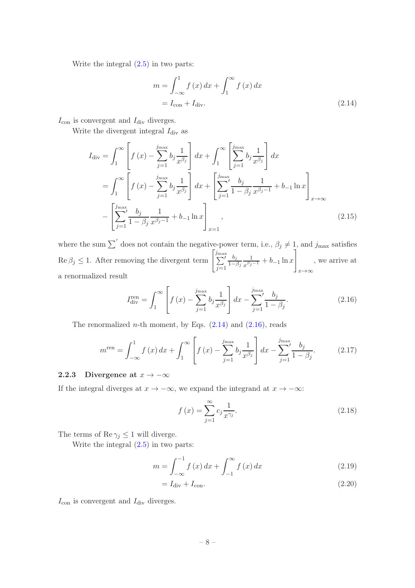Write the integral [\(2.5\)](#page-7-2) in two parts:

<span id="page-9-1"></span>
$$
m = \int_{-\infty}^{1} f(x) dx + \int_{1}^{\infty} f(x) dx
$$

$$
= I_{\text{con}} + I_{\text{div}}.
$$
(2.14)

 $I_{\text{con}}$  is convergent and  $I_{\text{div}}$  diverges.

Write the divergent integral  $I_{\text{div}}$  as

$$
I_{\rm div} = \int_{1}^{\infty} \left[ f(x) - \sum_{j=1}^{j_{\rm max}} b_j \frac{1}{x^{\beta_j}} \right] dx + \int_{1}^{\infty} \left[ \sum_{j=1}^{j_{\rm max}} b_j \frac{1}{x^{\beta_j}} \right] dx
$$
  

$$
= \int_{1}^{\infty} \left[ f(x) - \sum_{j=1}^{j_{\rm max}} b_j \frac{1}{x^{\beta_j}} \right] dx + \left[ \sum_{j=1}^{j_{\rm max}} \frac{b_j}{1 - \beta_j} \frac{1}{x^{\beta_j - 1}} + b_{-1} \ln x \right]_{x \to \infty}
$$
  

$$
- \left[ \sum_{j=1}^{j_{\rm max}} \frac{b_j}{1 - \beta_j} \frac{1}{x^{\beta_j - 1}} + b_{-1} \ln x \right]_{x = 1},
$$
(2.15)

where the sum  $\sum'$  does not contain the negative-power term, i.e.,  $\beta_j \neq 1$ , and  $j_{\text{max}}$  satisfies  $\text{Re } \beta_j \leq 1.$  After removing the divergent term  $\left[\sum_{i=1}^{j_{\text{max}}} \right]$  $j=1$  $b_j$  $1-\beta_j$ 1  $rac{1}{x^{\beta_j-1}} + b_{-1} \ln x$ 1  $x \rightarrow \infty$ , we arrive at a renormalized result

<span id="page-9-2"></span>
$$
I_{\rm div}^{\rm ren} = \int_1^{\infty} \left[ f(x) - \sum_{j=1}^{j_{\rm max}} b_j \frac{1}{x^{\beta_j}} \right] dx - \sum_{j=1}^{j_{\rm max}} \frac{b_j}{1 - \beta_j}.
$$
 (2.16)

The renormalized *n*-th moment, by Eqs.  $(2.14)$  and  $(2.16)$ , reads

<span id="page-9-3"></span>
$$
m^{\text{ren}} = \int_{-\infty}^{1} f(x) dx + \int_{1}^{\infty} \left[ f(x) - \sum_{j=1}^{j_{\text{max}}} b_j \frac{1}{x^{\beta_j}} \right] dx - \sum_{j=1}^{j_{\text{max}}} \frac{b_j}{1 - \beta_j}.
$$
 (2.17)

# <span id="page-9-0"></span>2.2.3 Divergence at  $x \to -\infty$

If the integral diverges at  $x \to -\infty$ , we expand the integrand at  $x \to -\infty$ :

$$
f(x) = \sum_{j=1}^{\infty} c_j \frac{1}{x^{\gamma_j}}.
$$
\n(2.18)

The terms of  $\text{Re } \gamma_j \leq 1$  will diverge.

Write the integral [\(2.5\)](#page-7-2) in two parts:

$$
m = \int_{-\infty}^{-1} f(x) \, dx + \int_{-1}^{\infty} f(x) \, dx \tag{2.19}
$$

$$
=I_{\rm div} + I_{\rm con}.\tag{2.20}
$$

 $I_{\text{con}}$  is convergent and  $I_{\text{div}}$  diverges.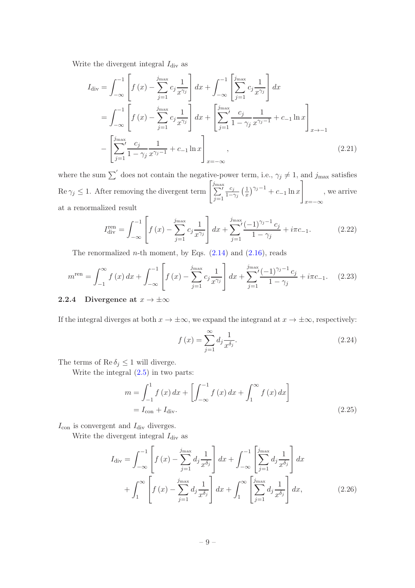Write the divergent integral  $I_{\text{div}}$  as

$$
I_{\rm div} = \int_{-\infty}^{-1} \left[ f(x) - \sum_{j=1}^{j_{\rm max}} c_j \frac{1}{x^{\gamma_j}} \right] dx + \int_{-\infty}^{-1} \left[ \sum_{j=1}^{j_{\rm max}} c_j \frac{1}{x^{\gamma_j}} \right] dx
$$
  
\n
$$
= \int_{-\infty}^{-1} \left[ f(x) - \sum_{j=1}^{j_{\rm max}} c_j \frac{1}{x^{\gamma_j}} \right] dx + \left[ \sum_{j=1}^{j_{\rm max}} \frac{c_j}{1 - \gamma_j} \frac{1}{x^{\gamma_j - 1}} + c_{-1} \ln x \right]_{x \to -1}
$$
  
\n
$$
- \left[ \sum_{j=1}^{j_{\rm max}} \frac{c_j}{1 - \gamma_j} \frac{1}{x^{\gamma_j - 1}} + c_{-1} \ln x \right]_{x = -\infty},
$$
\n(2.21)

where the sum  $\sum'$  does not contain the negative-power term, i.e.,  $\gamma_j \neq 1$ , and  $j_{\text{max}}$  satisfies  $\text{Re } \gamma_j \leq 1.$  After removing the divergent term  $\left[\sum_{i=1}^{j_{\text{max}}} \right]$  $j=1$  $c_j$  $1-\gamma_j$  $(1)$  $\frac{1}{x}\big)^{\gamma_j-1}+c_{-1}\ln x$ 1  $x=-\infty$ , we arrive at a renormalized result

$$
I_{\rm div}^{\rm ren} = \int_{-\infty}^{-1} \left[ f(x) - \sum_{j=1}^{j_{\rm max}} c_j \frac{1}{x^{\gamma_j}} \right] dx + \sum_{j=1}^{j_{\rm max}} \frac{(-1)^{\gamma_j - 1} c_j}{1 - \gamma_j} + i\pi c_{-1}.
$$
 (2.22)

The renormalized *n*-th moment, by Eqs.  $(2.14)$  and  $(2.16)$ , reads

$$
m^{\text{ren}} = \int_{-1}^{\infty} f(x) dx + \int_{-\infty}^{-1} \left[ f(x) - \sum_{j=1}^{j_{\text{max}}} c_j \frac{1}{x^{\gamma_j}} \right] dx + \sum_{j=1}^{j_{\text{max}}} \frac{(-1)^{\gamma_j - 1} c_j}{1 - \gamma_j} + i\pi c_{-1}.
$$
 (2.23)

# <span id="page-10-0"></span>2.2.4 Divergence at  $x \to \pm \infty$

If the integral diverges at both  $x \to \pm \infty$ , we expand the integrand at  $x \to \pm \infty$ , respectively:

<span id="page-10-1"></span>
$$
f(x) = \sum_{j=1}^{\infty} d_j \frac{1}{x^{\delta_j}}.
$$
\n(2.24)

The terms of  $\text{Re } \delta_j \leq 1$  will diverge.

Write the integral [\(2.5\)](#page-7-2) in two parts:

$$
m = \int_{-1}^{1} f(x) dx + \left[ \int_{-\infty}^{-1} f(x) dx + \int_{1}^{\infty} f(x) dx \right]
$$
  
=  $I_{\text{con}} + I_{\text{div}}.$  (2.25)

 $I_{\text{con}}$  is convergent and  $I_{\text{div}}$  diverges.

Write the divergent integral  $I_{\text{div}}$  as

$$
I_{\rm div} = \int_{-\infty}^{-1} \left[ f(x) - \sum_{j=1}^{j_{\rm max}} d_j \frac{1}{x^{\delta_j}} \right] dx + \int_{-\infty}^{-1} \left[ \sum_{j=1}^{j_{\rm max}} d_j \frac{1}{x^{\delta_j}} \right] dx + \int_{1}^{\infty} \left[ f(x) - \sum_{j=1}^{j_{\rm max}} d_j \frac{1}{x^{\delta_j}} \right] dx + \int_{1}^{\infty} \left[ \sum_{j=1}^{j_{\rm max}} d_j \frac{1}{x^{\delta_j}} \right] dx, \tag{2.26}
$$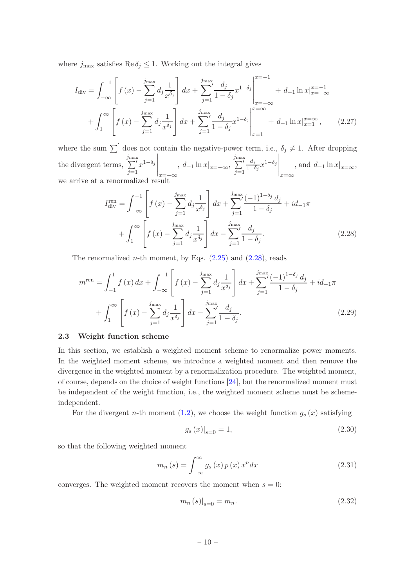where  $j_{\text{max}}$  satisfies Re  $\delta_j \leq 1$ . Working out the integral gives

$$
I_{\rm div} = \int_{-\infty}^{-1} \left[ f(x) - \sum_{j=1}^{j_{\rm max}} d_j \frac{1}{x^{\delta_j}} \right] dx + \sum_{j=1}^{j_{\rm max}} \left. \frac{d_j}{1 - \delta_j} x^{1 - \delta_j} \right|_{x = -\infty}^{x = -1} + d_{-1} \ln x \Big|_{x = -\infty}^{x = -1} + \int_{1}^{\infty} \left[ f(x) - \sum_{j=1}^{j_{\rm max}} d_j \frac{1}{x^{\delta_j}} \right] dx + \sum_{j=1}^{j_{\rm max}} \left. \frac{d_j}{1 - \delta_j} x^{1 - \delta_j} \right|_{x = 1}^{x = -\infty} + d_{-1} \ln x \Big|_{x = 1}^{x = \infty}, \tag{2.27}
$$

where the sum  $\sum'$  does not contain the negative-power term, i.e.,  $\delta_j \neq 1$ . After dropping the divergent terms,  $\sum'$  $j=1$  $x^{1-\delta_j}$  $\Bigg|_{x=-\infty}$ ,  $d_{-1} \ln x \vert_{x=-\infty}$ ,  $\sum'$  $j=1$  $d_j$  $\frac{d_j}{1-\delta_j}x^{1-\delta_j}$  $\Bigg|_{x=\infty}$ , and  $d_{-1} \ln x|_{x=\infty}$ , we arrive at a renormalized result

<span id="page-11-1"></span>
$$
I_{\rm div}^{\rm ren} = \int_{-\infty}^{-1} \left[ f(x) - \sum_{j=1}^{j_{\rm max}} d_j \frac{1}{x^{\delta_j}} \right] dx + \sum_{j=1}^{j_{\rm max}} \frac{(-1)^{1-\delta_j} d_j}{1 - \delta_j} + id_{-1}\pi
$$

$$
+ \int_{1}^{\infty} \left[ f(x) - \sum_{j=1}^{j_{\rm max}} d_j \frac{1}{x^{\delta_j}} \right] dx - \sum_{j=1}^{j_{\rm max}} \frac{d_j}{1 - \delta_j}.
$$
(2.28)

The renormalized *n*-th moment, by Eqs.  $(2.25)$  and  $(2.28)$ , reads

$$
m^{\text{ren}} = \int_{-1}^{1} f(x) dx + \int_{-\infty}^{-1} \left[ f(x) - \sum_{j=1}^{j_{\text{max}}} d_j \frac{1}{x^{\delta_j}} \right] dx + \sum_{j=1}^{j_{\text{max}}} \frac{(-1)^{1-\delta_j} d_j}{1 - \delta_j} + id_{-1} \pi
$$

$$
+ \int_{1}^{\infty} \left[ f(x) - \sum_{j=1}^{j_{\text{max}}} d_j \frac{1}{x^{\delta_j}} \right] dx - \sum_{j=1}^{j_{\text{max}}} \frac{d_j}{1 - \delta_j}.
$$
(2.29)

#### <span id="page-11-0"></span>2.3 Weight function scheme

In this section, we establish a weighted moment scheme to renormalize power moments. In the weighted moment scheme, we introduce a weighted moment and then remove the divergence in the weighted moment by a renormalization procedure. The weighted moment, of course, depends on the choice of weight functions [\[24\]](#page-46-16), but the renormalized moment must be independent of the weight function, i.e., the weighted moment scheme must be schemeindependent.

For the divergent *n*-th moment  $(1.2)$ , we choose the weight function  $g_s(x)$  satisfying

<span id="page-11-3"></span>
$$
g_s(x)|_{s=0} = 1,\t\t(2.30)
$$

so that the following weighted moment

<span id="page-11-2"></span>
$$
m_n(s) = \int_{-\infty}^{\infty} g_s(x) p(x) x^n dx \qquad (2.31)
$$

converges. The weighted moment recovers the moment when  $s = 0$ :

$$
m_n(s)|_{s=0} = m_n.
$$
\n(2.32)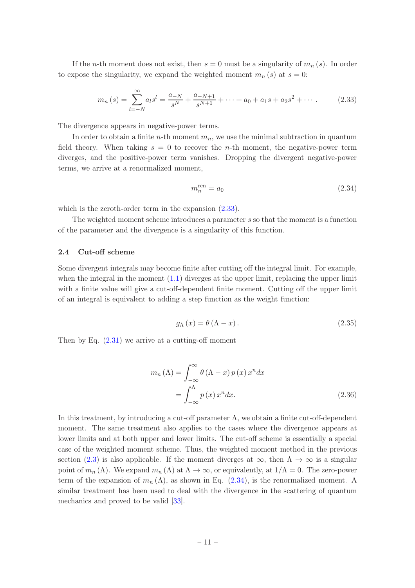If the *n*-th moment does not exist, then  $s = 0$  must be a singularity of  $m_n(s)$ . In order to expose the singularity, we expand the weighted moment  $m_n(s)$  at  $s = 0$ :

<span id="page-12-1"></span>
$$
m_n(s) = \sum_{l=-N}^{\infty} a_l s^l = \frac{a_{-N}}{s^N} + \frac{a_{-N+1}}{s^{N+1}} + \dots + a_0 + a_1 s + a_2 s^2 + \dots
$$
 (2.33)

The divergence appears in negative-power terms.

In order to obtain a finite *n*-th moment  $m_n$ , we use the minimal subtraction in quantum field theory. When taking  $s = 0$  to recover the *n*-th moment, the negative-power term diverges, and the positive-power term vanishes. Dropping the divergent negative-power terms, we arrive at a renormalized moment,

<span id="page-12-2"></span>
$$
m_n^{\text{ren}} = a_0 \tag{2.34}
$$

which is the zeroth-order term in the expansion  $(2.33)$ .

The weighted moment scheme introduces a parameter s so that the moment is a function of the parameter and the divergence is a singularity of this function.

# <span id="page-12-0"></span>2.4 Cut-off scheme

Some divergent integrals may become finite after cutting off the integral limit. For example, when the integral in the moment  $(1.1)$  diverges at the upper limit, replacing the upper limit with a finite value will give a cut-off-dependent finite moment. Cutting off the upper limit of an integral is equivalent to adding a step function as the weight function:

$$
g_{\Lambda}(x) = \theta(\Lambda - x). \tag{2.35}
$$

Then by Eq.  $(2.31)$  we arrive at a cutting-off moment

$$
m_n(\Lambda) = \int_{-\infty}^{\infty} \theta (\Lambda - x) p(x) x^n dx
$$

$$
= \int_{-\infty}^{\Lambda} p(x) x^n dx.
$$
 (2.36)

In this treatment, by introducing a cut-off parameter  $\Lambda$ , we obtain a finite cut-off-dependent moment. The same treatment also applies to the cases where the divergence appears at lower limits and at both upper and lower limits. The cut-off scheme is essentially a special case of the weighted moment scheme. Thus, the weighted moment method in the previous section [\(2.3\)](#page-11-0) is also applicable. If the moment diverges at  $\infty$ , then  $\Lambda \to \infty$  is a singular point of  $m_n(\Lambda)$ . We expand  $m_n(\Lambda)$  at  $\Lambda \to \infty$ , or equivalently, at  $1/\Lambda = 0$ . The zero-power term of the expansion of  $m_n(\Lambda)$ , as shown in Eq. [\(2.34\)](#page-12-2), is the renormalized moment. A similar treatment has been used to deal with the divergence in the scattering of quantum mechanics and proved to be valid [\[33](#page-47-4)].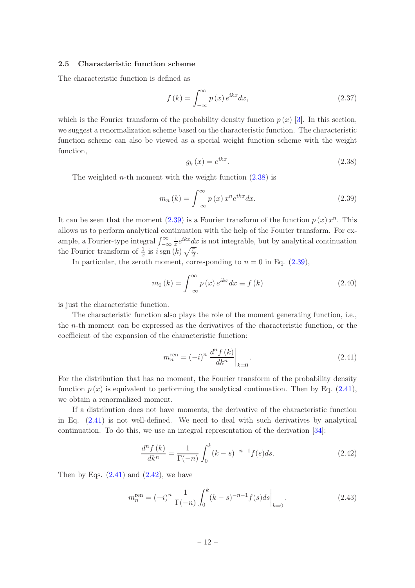# <span id="page-13-0"></span>2.5 Characteristic function scheme

The characteristic function is defined as

<span id="page-13-6"></span>
$$
f(k) = \int_{-\infty}^{\infty} p(x) e^{ikx} dx,
$$
\n(2.37)

which is the Fourier transform of the probability density function  $p(x)$  [\[3\]](#page-45-2). In this section, we suggest a renormalization scheme based on the characteristic function. The characteristic function scheme can also be viewed as a special weight function scheme with the weight function,

<span id="page-13-1"></span>
$$
g_k(x) = e^{ikx}.\tag{2.38}
$$

The weighted *n*-th moment with the weight function  $(2.38)$  is

<span id="page-13-2"></span>
$$
m_n(k) = \int_{-\infty}^{\infty} p(x) x^n e^{ikx} dx.
$$
 (2.39)

It can be seen that the moment  $(2.39)$  is a Fourier transform of the function  $p(x) x<sup>n</sup>$ . This allows us to perform analytical continuation with the help of the Fourier transform. For example, a Fourier-type integral  $\int_{-\infty}^{\infty}$ 1  $\frac{1}{x}e^{ikx}dx$  is not integrable, but by analytical continuation the Fourier transform of  $\frac{1}{x}$  is  $i \operatorname{sgn}(k) \sqrt{\frac{\pi}{2}}$ .

In particular, the zeroth moment, corresponding to  $n = 0$  in Eq.  $(2.39)$ ,

$$
m_0(k) = \int_{-\infty}^{\infty} p(x) e^{ikx} dx \equiv f(k)
$$
\n(2.40)

is just the characteristic function.

The characteristic function also plays the role of the moment generating function, i.e., the n-th moment can be expressed as the derivatives of the characteristic function, or the coefficient of the expansion of the characteristic function:

<span id="page-13-3"></span>
$$
m_n^{\text{ren}} = (-i)^n \left. \frac{d^n f(k)}{dk^n} \right|_{k=0}.
$$
\n(2.41)

For the distribution that has no moment, the Fourier transform of the probability density function  $p(x)$  is equivalent to performing the analytical continuation. Then by Eq. [\(2.41\)](#page-13-3), we obtain a renormalized moment.

If a distribution does not have moments, the derivative of the characteristic function in Eq. [\(2.41\)](#page-13-3) is not well-defined. We need to deal with such derivatives by analytical continuation. To do this, we use an integral representation of the derivation [\[34](#page-47-5)]:

<span id="page-13-4"></span>
$$
\frac{d^n f(k)}{dk^n} = \frac{1}{\Gamma(-n)} \int_0^k (k-s)^{-n-1} f(s) ds.
$$
 (2.42)

Then by Eqs.  $(2.41)$  and  $(2.42)$ , we have

<span id="page-13-5"></span>
$$
m_n^{\text{ren}} = (-i)^n \frac{1}{\Gamma(-n)} \int_0^k (k-s)^{-n-1} f(s) ds \Big|_{k=0}.
$$
 (2.43)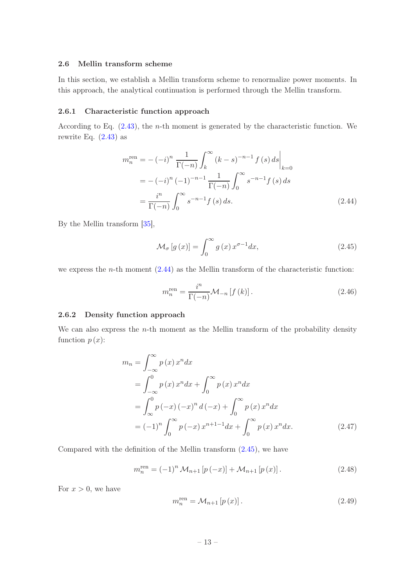# <span id="page-14-0"></span>2.6 Mellin transform scheme

In this section, we establish a Mellin transform scheme to renormalize power moments. In this approach, the analytical continuation is performed through the Mellin transform.

#### <span id="page-14-1"></span>2.6.1 Characteristic function approach

According to Eq.  $(2.43)$ , the *n*-th moment is generated by the characteristic function. We rewrite Eq.  $(2.43)$  as

$$
m_n^{\text{ren}} = -(-i)^n \frac{1}{\Gamma(-n)} \int_k^{\infty} (k - s)^{-n-1} f(s) ds \Big|_{k=0}
$$
  
=  $-(-i)^n (-1)^{-n-1} \frac{1}{\Gamma(-n)} \int_0^{\infty} s^{-n-1} f(s) ds$   
=  $\frac{i^n}{\Gamma(-n)} \int_0^{\infty} s^{-n-1} f(s) ds.$  (2.44)

By the Mellin transform [\[35](#page-47-6)],

<span id="page-14-4"></span><span id="page-14-3"></span>
$$
\mathcal{M}_{\sigma}[g(x)] = \int_0^{\infty} g(x) x^{\sigma - 1} dx,
$$
\n(2.45)

we express the  $n$ -th moment  $(2.44)$  as the Mellin transform of the characteristic function:

<span id="page-14-5"></span>
$$
m_n^{\text{ren}} = \frac{i^n}{\Gamma(-n)} \mathcal{M}_{-n} \left[ f \left( k \right) \right]. \tag{2.46}
$$

# <span id="page-14-2"></span>2.6.2 Density function approach

We can also express the  $n$ -th moment as the Mellin transform of the probability density function  $p(x)$ :

$$
m_n = \int_{-\infty}^{\infty} p(x) x^n dx
$$
  
=  $\int_{-\infty}^{0} p(x) x^n dx + \int_{0}^{\infty} p(x) x^n dx$   
=  $\int_{\infty}^{0} p(-x) (-x)^n d(-x) + \int_{0}^{\infty} p(x) x^n dx$   
=  $(-1)^n \int_{0}^{\infty} p(-x) x^{n+1-1} dx + \int_{0}^{\infty} p(x) x^n dx.$  (2.47)

Compared with the definition of the Mellin transform [\(2.45\)](#page-14-4), we have

<span id="page-14-6"></span>
$$
m_n^{\text{ren}} = (-1)^n \mathcal{M}_{n+1} \left[ p(-x) \right] + \mathcal{M}_{n+1} \left[ p(x) \right]. \tag{2.48}
$$

For  $x > 0$ , we have

$$
m_n^{\text{ren}} = \mathcal{M}_{n+1} \left[ p \left( x \right) \right]. \tag{2.49}
$$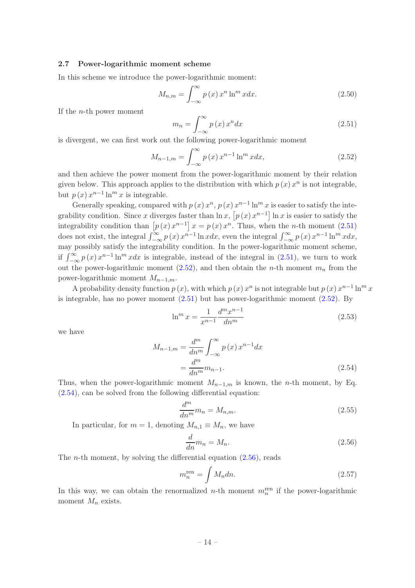# <span id="page-15-0"></span>2.7 Power-logarithmic moment scheme

In this scheme we introduce the power-logarithmic moment:

$$
M_{n,m} = \int_{-\infty}^{\infty} p(x) x^n \ln^m x dx.
$$
 (2.50)

If the n-th power moment

<span id="page-15-1"></span>
$$
m_n = \int_{-\infty}^{\infty} p(x) x^n dx \tag{2.51}
$$

is divergent, we can first work out the following power-logarithmic moment

<span id="page-15-2"></span>
$$
M_{n-1,m} = \int_{-\infty}^{\infty} p(x) x^{n-1} \ln^m x dx,
$$
 (2.52)

and then achieve the power moment from the power-logarithmic moment by their relation given below. This approach applies to the distribution with which  $p(x) x^n$  is not integrable, but  $p(x) x^{n-1} \ln^m x$  is integrable.

Generally speaking, compared with  $p(x) x^n$ ,  $p(x) x^{n-1} \ln^m x$  is easier to satisfy the integrability condition. Since x diverges faster than  $\ln x$ ,  $[p(x)x^{n-1}] \ln x$  is easier to satisfy the integrability condition than  $[p(x)x^{n-1}]x = p(x)x^n$ . Thus, when the *n*-th moment [\(2.51\)](#page-15-1) does not exist, the integral  $\int_{-\infty}^{\infty} p(x) x^{n-1} \ln x dx$ , even the integral  $\int_{-\infty}^{\infty} p(x) x^{n-1} \ln^m x dx$ , may possibly satisfy the integrability condition. In the power-logarithmic moment scheme, if  $\int_{-\infty}^{\infty} p(x) x^{n-1} \ln^m x dx$  is integrable, instead of the integral in [\(2.51\)](#page-15-1), we turn to work out the power-logarithmic moment  $(2.52)$ , and then obtain the *n*-th moment  $m_n$  from the power-logarithmic moment  $M_{n-1,m}$ .

A probability density function  $p(x)$ , with which  $p(x) x^n$  is not integrable but  $p(x) x^{n-1} \ln^m x$ is integrable, has no power moment [\(2.51\)](#page-15-1) but has power-logarithmic moment [\(2.52\)](#page-15-2). By

<span id="page-15-6"></span>
$$
\ln^m x = \frac{1}{x^{n-1}} \frac{d^m x^{n-1}}{dn^m}
$$
\n(2.53)

we have

$$
M_{n-1,m} = \frac{d^m}{dn^m} \int_{-\infty}^{\infty} p(x) x^{n-1} dx
$$
  
= 
$$
\frac{d^m}{dn^m} m_{n-1}.
$$
 (2.54)

Thus, when the power-logarithmic moment  $M_{n-1,m}$  is known, the n-th moment, by Eq. [\(2.54\)](#page-15-3), can be solved from the following differential equation:

<span id="page-15-3"></span>
$$
\frac{d^m}{dn^m}m_n = M_{n,m}.\tag{2.55}
$$

In particular, for  $m = 1$ , denoting  $M_{n,1} \equiv M_n$ , we have

<span id="page-15-4"></span>
$$
\frac{d}{dn}m_n = M_n.\tag{2.56}
$$

The *n*-th moment, by solving the differential equation  $(2.56)$ , reads

<span id="page-15-5"></span>
$$
m_n^{\text{ren}} = \int M_n dn. \tag{2.57}
$$

In this way, we can obtain the renormalized *n*-th moment  $m_n^{\text{ren}}$  if the power-logarithmic moment  $M_n$  exists.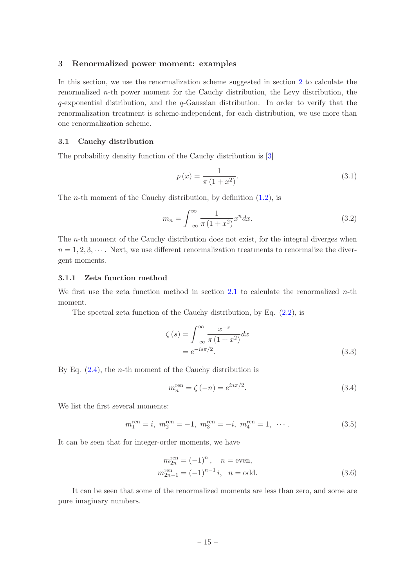# <span id="page-16-0"></span>3 Renormalized power moment: examples

In this section, we use the renormalization scheme suggested in section [2](#page-5-0) to calculate the renormalized  $n$ -th power moment for the Cauchy distribution, the Levy distribution, the  $q$ -exponential distribution, and the  $q$ -Gaussian distribution. In order to verify that the renormalization treatment is scheme-independent, for each distribution, we use more than one renormalization scheme.

# <span id="page-16-1"></span>3.1 Cauchy distribution

The probability density function of the Cauchy distribution is [\[3](#page-45-2)]

<span id="page-16-4"></span>
$$
p(x) = \frac{1}{\pi (1 + x^2)}.
$$
\n(3.1)

The *n*-th moment of the Cauchy distribution, by definition  $(1.2)$ , is

<span id="page-16-3"></span>
$$
m_n = \int_{-\infty}^{\infty} \frac{1}{\pi (1 + x^2)} x^n dx.
$$
\n(3.2)

The n-th moment of the Cauchy distribution does not exist, for the integral diverges when  $n = 1, 2, 3, \cdots$ . Next, we use different renormalization treatments to renormalize the divergent moments.

# <span id="page-16-2"></span>3.1.1 Zeta function method

We first use the zeta function method in section [2.1](#page-5-1) to calculate the renormalized  $n$ -th moment.

The spectral zeta function of the Cauchy distribution, by Eq.  $(2.2)$ , is

$$
\zeta(s) = \int_{-\infty}^{\infty} \frac{x^{-s}}{\pi (1 + x^2)} dx
$$
  
=  $e^{-is\pi/2}$ . (3.3)

By Eq.  $(2.4)$ , the *n*-th moment of the Cauchy distribution is

<span id="page-16-5"></span>
$$
m_n^{\text{ren}} = \zeta(-n) = e^{in\pi/2}.
$$
\n(3.4)

We list the first several moments:

$$
m_1^{\text{ren}} = i, \ m_2^{\text{ren}} = -1, \ m_3^{\text{ren}} = -i, \ m_4^{\text{ren}} = 1, \ \cdots \,. \tag{3.5}
$$

It can be seen that for integer-order moments, we have

$$
m_{2n}^{\text{ren}} = (-1)^n, \quad n = \text{even},
$$
  

$$
m_{2n-1}^{\text{ren}} = (-1)^{n-1} i, \quad n = \text{odd}.
$$
 (3.6)

It can be seen that some of the renormalized moments are less than zero, and some are pure imaginary numbers.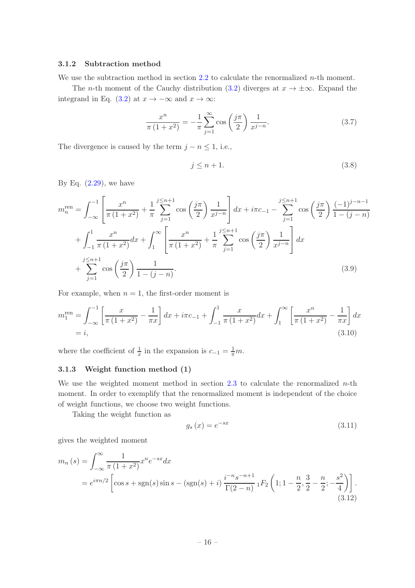# <span id="page-17-0"></span>3.1.2 Subtraction method

We use the subtraction method in section  $2.2$  to calculate the renormalized *n*-th moment.

The *n*-th moment of the Cauchy distribution [\(3.2\)](#page-16-3) diverges at  $x \to \pm \infty$ . Expand the integrand in Eq. [\(3.2\)](#page-16-3) at  $x \to -\infty$  and  $x \to \infty$ :

$$
\frac{x^n}{\pi (1+x^2)} = -\frac{1}{\pi} \sum_{j=1}^{\infty} \cos\left(\frac{j\pi}{2}\right) \frac{1}{x^{j-n}}.
$$
 (3.7)

The divergence is caused by the term  $j - n \leq 1$ , i.e.,

$$
j \le n+1. \tag{3.8}
$$

By Eq.  $(2.29)$ , we have

$$
m_n^{\text{ren}} = \int_{-\infty}^{-1} \left[ \frac{x^n}{\pi (1+x^2)} + \frac{1}{\pi} \sum_{j=1}^{j \le n+1} \cos\left(\frac{j\pi}{2}\right) \frac{1}{x^{j-n}} \right] dx + i\pi c_{-1} - \sum_{j=1}^{j \le n+1} \cos\left(\frac{j\pi}{2}\right) \frac{(-1)^{j-n-1}}{1-(j-n)} + \int_{-1}^{1} \frac{x^n}{\pi (1+x^2)} dx + \int_{1}^{\infty} \left[ \frac{x^n}{\pi (1+x^2)} + \frac{1}{\pi} \sum_{j=1}^{j \le n+1} \cos\left(\frac{j\pi}{2}\right) \frac{1}{x^{j-n}} \right] dx + \sum_{j=1}^{j \le n+1} \cos\left(\frac{j\pi}{2}\right) \frac{1}{1-(j-n)}.
$$
 (3.9)

For example, when  $n = 1$ , the first-order moment is

$$
m_1^{\text{ren}} = \int_{-\infty}^{-1} \left[ \frac{x}{\pi (1 + x^2)} - \frac{1}{\pi x} \right] dx + i\pi c_{-1} + \int_{-1}^{1} \frac{x}{\pi (1 + x^2)} dx + \int_{1}^{\infty} \left[ \frac{x^n}{\pi (1 + x^2)} - \frac{1}{\pi x} \right] dx
$$
  
= *i*, (3.10)

<span id="page-17-1"></span>where the coefficient of  $\frac{1}{x}$  in the expansion is  $c_{-1} = \frac{1}{\pi}m$ .

# 3.1.3 Weight function method (1)

We use the weighted moment method in section [2.3](#page-11-0) to calculate the renormalized  $n$ -th moment. In order to exemplify that the renormalized moment is independent of the choice of weight functions, we choose two weight functions.

Taking the weight function as

$$
g_s(x) = e^{-sx} \tag{3.11}
$$

gives the weighted moment

$$
m_n(s) = \int_{-\infty}^{\infty} \frac{1}{\pi (1 + x^2)} x^n e^{-sx} dx
$$
  
=  $e^{i\pi n/2} \left[ \cos s + \text{sgn}(s) \sin s - (\text{sgn}(s) + i) \frac{i^{-n} s^{-n+1}}{\Gamma(2 - n)} {}_1F_2 \left( 1; 1 - \frac{n}{2}, \frac{3}{2} - \frac{n}{2}; -\frac{s^2}{4} \right) \right].$  (3.12)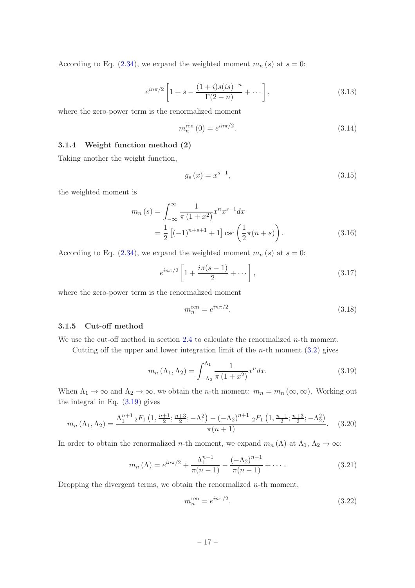According to Eq. [\(2.34\)](#page-12-2), we expand the weighted moment  $m_n(s)$  at  $s = 0$ :

$$
e^{in\pi/2} \left[ 1 + s - \frac{(1+i)s(is)^{-n}}{\Gamma(2-n)} + \cdots \right],
$$
\n(3.13)

where the zero-power term is the renormalized moment

$$
m_n^{\text{ren}}(0) = e^{in\pi/2}.
$$
\n(3.14)

# <span id="page-18-0"></span>3.1.4 Weight function method (2)

Taking another the weight function,

$$
g_s(x) = x^{s-1},
$$
\n(3.15)

the weighted moment is

$$
m_n(s) = \int_{-\infty}^{\infty} \frac{1}{\pi (1 + x^2)} x^n x^{s-1} dx
$$
  
=  $\frac{1}{2} [(-1)^{n+s+1} + 1] \csc \left( \frac{1}{2} \pi (n+s) \right).$  (3.16)

According to Eq. [\(2.34\)](#page-12-2), we expand the weighted moment  $m_n(s)$  at  $s = 0$ :

$$
e^{in\pi/2}\left[1+\frac{i\pi(s-1)}{2}+\cdots\right],\tag{3.17}
$$

where the zero-power term is the renormalized moment

$$
m_n^{\rm ren} = e^{in\pi/2}.\tag{3.18}
$$

# <span id="page-18-1"></span>3.1.5 Cut-off method

We use the cut-off method in section  $2.4$  to calculate the renormalized *n*-th moment.

Cutting off the upper and lower integration limit of the *n*-th moment  $(3.2)$  gives

<span id="page-18-2"></span>
$$
m_n(\Lambda_1, \Lambda_2) = \int_{-\Lambda_2}^{\Lambda_1} \frac{1}{\pi (1 + x^2)} x^n dx.
$$
 (3.19)

When  $\Lambda_1 \to \infty$  and  $\Lambda_2 \to \infty$ , we obtain the *n*-th moment:  $m_n = m_n (\infty, \infty)$ . Working out the integral in Eq. [\(3.19\)](#page-18-2) gives

$$
m_n\left(\Lambda_1,\Lambda_2\right) = \frac{\Lambda_1^{n+1} {}_2F_1\left(1,\frac{n+1}{2};\frac{n+3}{2};-\Lambda_1^2\right) - \left(-\Lambda_2\right)^{n+1} {}_2F_1\left(1,\frac{n+1}{2};\frac{n+3}{2};-\Lambda_2^2\right)}{\pi(n+1)}.\tag{3.20}
$$

In order to obtain the renormalized n-th moment, we expand  $m_n(\Lambda)$  at  $\Lambda_1, \Lambda_2 \to \infty$ :

$$
m_n(\Lambda) = e^{in\pi/2} + \frac{\Lambda_1^{n-1}}{\pi(n-1)} - \frac{(-\Lambda_2)^{n-1}}{\pi(n-1)} + \cdots
$$
 (3.21)

Dropping the divergent terms, we obtain the renormalized  $n$ -th moment,

$$
m_n^{\rm ren} = e^{in\pi/2}.\tag{3.22}
$$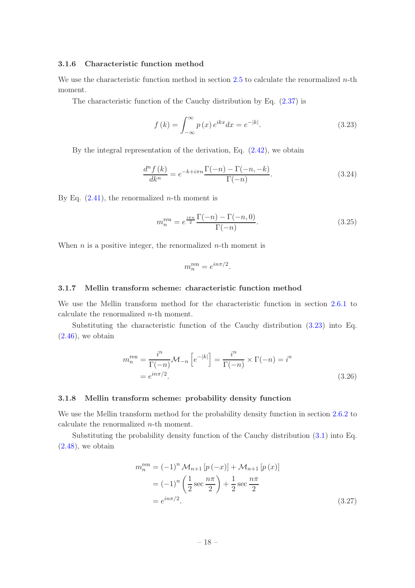# <span id="page-19-0"></span>3.1.6 Characteristic function method

We use the characteristic function method in section [2.5](#page-13-0) to calculate the renormalized  $n$ -th moment.

The characteristic function of the Cauchy distribution by Eq. [\(2.37\)](#page-13-6) is

<span id="page-19-3"></span>
$$
f(k) = \int_{-\infty}^{\infty} p(x) e^{ikx} dx = e^{-|k|}.
$$
 (3.23)

By the integral representation of the derivation, Eq. [\(2.42\)](#page-13-4), we obtain

$$
\frac{d^n f(k)}{dk^n} = e^{-k + i\pi n} \frac{\Gamma(-n) - \Gamma(-n, -k)}{\Gamma(-n)}.
$$
\n(3.24)

By Eq.  $(2.41)$ , the renormalized *n*-th moment is

$$
m_n^{\text{ren}} = e^{\frac{i\pi n}{2}} \frac{\Gamma(-n) - \Gamma(-n, 0)}{\Gamma(-n)}.
$$
\n(3.25)

When  $n$  is a positive integer, the renormalized  $n$ -th moment is

$$
m_n^{\rm ren} = e^{in\pi/2}
$$

.

#### <span id="page-19-1"></span>3.1.7 Mellin transform scheme: characteristic function method

We use the Mellin transform method for the characteristic function in section [2.6.1](#page-14-1) to calculate the renormalized n-th moment.

Substituting the characteristic function of the Cauchy distribution [\(3.23\)](#page-19-3) into Eq.  $(2.46)$ , we obtain

$$
m_n^{\text{ren}} = \frac{i^n}{\Gamma(-n)} \mathcal{M}_{-n} \left[ e^{-|k|} \right] = \frac{i^n}{\Gamma(-n)} \times \Gamma(-n) = i^n
$$
  
=  $e^{in\pi/2}$ . (3.26)

# <span id="page-19-2"></span>3.1.8 Mellin transform scheme: probability density function

We use the Mellin transform method for the probability density function in section [2.6.2](#page-14-2) to calculate the renormalized n-th moment.

Substituting the probability density function of the Cauchy distribution [\(3.1\)](#page-16-4) into Eq.  $(2.48)$ , we obtain

$$
m_n^{\text{ren}} = (-1)^n \mathcal{M}_{n+1} \left[ p(-x) \right] + \mathcal{M}_{n+1} \left[ p(x) \right]
$$
  
=  $(-1)^n \left( \frac{1}{2} \sec \frac{n\pi}{2} \right) + \frac{1}{2} \sec \frac{n\pi}{2}$   
=  $e^{in\pi/2}$ . (3.27)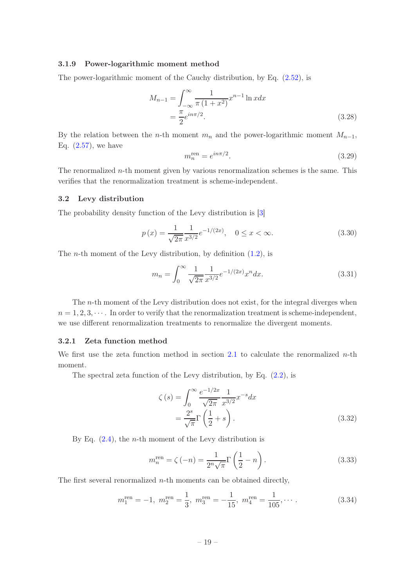## <span id="page-20-0"></span>3.1.9 Power-logarithmic moment method

The power-logarithmic moment of the Cauchy distribution, by Eq. [\(2.52\)](#page-15-2), is

$$
M_{n-1} = \int_{-\infty}^{\infty} \frac{1}{\pi (1 + x^2)} x^{n-1} \ln x dx
$$
  
=  $\frac{\pi}{2} e^{in\pi/2}$ . (3.28)

By the relation between the *n*-th moment  $m_n$  and the power-logarithmic moment  $M_{n-1}$ , Eq.  $(2.57)$ , we have

$$
m_n^{\text{ren}} = e^{in\pi/2}.\tag{3.29}
$$

The renormalized  $n$ -th moment given by various renormalization schemes is the same. This verifies that the renormalization treatment is scheme-independent.

#### <span id="page-20-1"></span>3.2 Levy distribution

The probability density function of the Levy distribution is [\[3](#page-45-2)]

<span id="page-20-4"></span>
$$
p(x) = \frac{1}{\sqrt{2\pi}} \frac{1}{x^{3/2}} e^{-1/(2x)}, \quad 0 \le x < \infty.
$$
 (3.30)

The *n*-th moment of the Levy distribution, by definition  $(1.2)$ , is

<span id="page-20-3"></span>
$$
m_n = \int_0^\infty \frac{1}{\sqrt{2\pi}} \frac{1}{x^{3/2}} e^{-1/(2x)} x^n dx.
$$
\n(3.31)

The n-th moment of the Levy distribution does not exist, for the integral diverges when  $n = 1, 2, 3, \cdots$ . In order to verify that the renormalization treatment is scheme-independent, we use different renormalization treatments to renormalize the divergent moments.

# <span id="page-20-2"></span>3.2.1 Zeta function method

We first use the zeta function method in section [2.1](#page-5-1) to calculate the renormalized  $n$ -th moment.

The spectral zeta function of the Levy distribution, by Eq.  $(2.2)$ , is

$$
\zeta(s) = \int_0^\infty \frac{e^{-1/2x}}{\sqrt{2\pi}} \frac{1}{x^{3/2}} x^{-s} dx
$$

$$
= \frac{2^s}{\sqrt{\pi}} \Gamma\left(\frac{1}{2} + s\right). \tag{3.32}
$$

By Eq.  $(2.4)$ , the *n*-th moment of the Levy distribution is

<span id="page-20-5"></span>
$$
m_n^{\text{ren}} = \zeta(-n) = \frac{1}{2^n \sqrt{\pi}} \Gamma\left(\frac{1}{2} - n\right). \tag{3.33}
$$

The first several renormalized  $n$ -th moments can be obtained directly,

$$
m_1^{\text{ren}} = -1, m_2^{\text{ren}} = \frac{1}{3}, m_3^{\text{ren}} = -\frac{1}{15}, m_4^{\text{ren}} = \frac{1}{105}, \cdots
$$
 (3.34)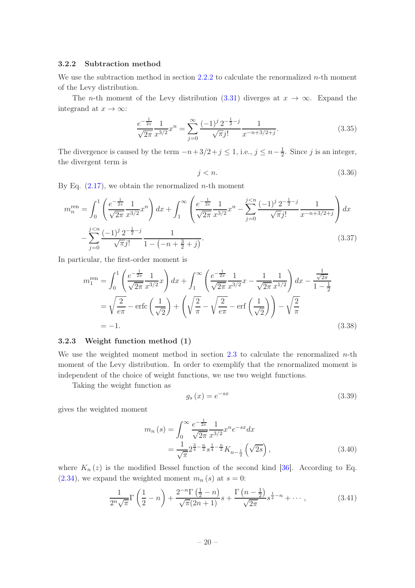# <span id="page-21-0"></span>3.2.2 Subtraction method

We use the subtraction method in section [2.2.2](#page-8-0) to calculate the renormalized  $n$ -th moment of the Levy distribution.

The *n*-th moment of the Levy distribution [\(3.31\)](#page-20-3) diverges at  $x \to \infty$ . Expand the integrand at  $x \to \infty$ :

$$
\frac{e^{-\frac{1}{2x}}}{\sqrt{2\pi}} \frac{1}{x^{3/2}} x^n = \sum_{j=0}^{\infty} \frac{(-1)^j 2^{-\frac{1}{2} - j}}{\sqrt{\pi} j!} \frac{1}{x^{-n+3/2+j}}.
$$
\n(3.35)

The divergence is caused by the term  $-n+3/2+j \leq 1$ , i.e.,  $j \leq n-\frac{1}{2}$  $\frac{1}{2}$ . Since j is an integer, the divergent term is

$$
j < n. \tag{3.36}
$$

By Eq.  $(2.17)$ , we obtain the renormalized *n*-th moment

$$
m_n^{\text{ren}} = \int_0^1 \left( \frac{e^{-\frac{1}{2x}}}{\sqrt{2\pi}} \frac{1}{x^{3/2}} x^n \right) dx + \int_1^\infty \left( \frac{e^{-\frac{1}{2x}}}{\sqrt{2\pi}} \frac{1}{x^{3/2}} x^n - \sum_{j=0}^{j  
- 
$$
\sum_{j=0}^{j(3.37)
$$
$$

In particular, the first-order moment is

$$
m_1^{\text{ren}} = \int_0^1 \left( \frac{e^{-\frac{1}{2x}}}{\sqrt{2\pi}} \frac{1}{x^{3/2}} x \right) dx + \int_1^\infty \left( \frac{e^{-\frac{1}{2x}}}{\sqrt{2\pi}} \frac{1}{x^{3/2}} x - \frac{1}{\sqrt{2\pi}} \frac{1}{x^{1/2}} \right) dx - \frac{\frac{1}{\sqrt{2\pi}}}{1 - \frac{1}{2}}
$$
  
=  $\sqrt{\frac{2}{e\pi}} - \text{erfc}\left(\frac{1}{\sqrt{2}}\right) + \left(\sqrt{\frac{2}{\pi}} - \sqrt{\frac{2}{e\pi}} - \text{erfc}\left(\frac{1}{\sqrt{2}}\right)\right) - \sqrt{\frac{2}{\pi}}$   
= -1. (3.38)

# <span id="page-21-1"></span>3.2.3 Weight function method (1)

We use the weighted moment method in section [2.3](#page-11-0) to calculate the renormalized  $n$ -th moment of the Levy distribution. In order to exemplify that the renormalized moment is independent of the choice of weight functions, we use two weight functions.

Taking the weight function as

$$
g_s(x) = e^{-sx} \tag{3.39}
$$

gives the weighted moment

$$
m_n(s) = \int_0^\infty \frac{e^{-\frac{1}{2x}}}{\sqrt{2\pi}} \frac{1}{x^{3/2}} x^n e^{-sx} dx
$$
  
= 
$$
\frac{1}{\sqrt{\pi}} 2^{\frac{3}{4} - \frac{n}{2}} s^{\frac{1}{4} - \frac{n}{2}} K_{n - \frac{1}{2}} (\sqrt{2s}),
$$
 (3.40)

where  $K_n(z)$  is the modified Bessel function of the second kind [\[36\]](#page-47-7). According to Eq.  $(2.34)$ , we expand the weighted moment  $m_n(s)$  at  $s=0$ :

$$
\frac{1}{2^{n}\sqrt{\pi}}\Gamma\left(\frac{1}{2}-n\right) + \frac{2^{-n}\Gamma\left(\frac{1}{2}-n\right)}{\sqrt{\pi}(2n+1)}s + \frac{\Gamma\left(n-\frac{1}{2}\right)}{\sqrt{2\pi}}s^{\frac{1}{2}-n} + \cdots, \tag{3.41}
$$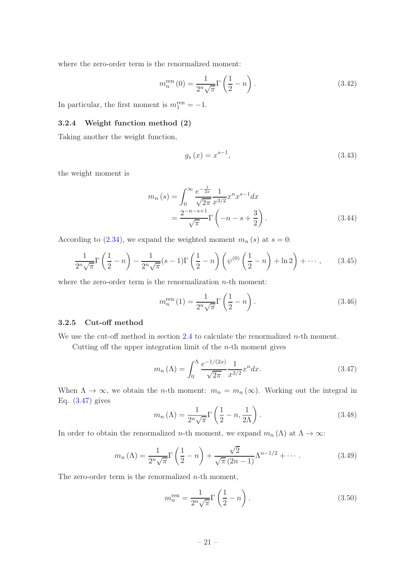where the zero-order term is the renormalized moment:

$$
m_n^{\text{ren}}(0) = \frac{1}{2^n \sqrt{\pi}} \Gamma\left(\frac{1}{2} - n\right). \tag{3.42}
$$

<span id="page-22-0"></span>In particular, the first moment is  $m_1^{\text{ren}} = -1$ .

# 3.2.4 Weight function method (2)

Taking another the weight function,

$$
g_s(x) = x^{s-1},
$$
\n(3.43)

the weight moment is

$$
m_n(s) = \int_0^\infty \frac{e^{-\frac{1}{2x}}}{\sqrt{2\pi}} \frac{1}{x^{3/2}} x^n x^{s-1} dx
$$
  
= 
$$
\frac{2^{-n-s+1}}{\sqrt{\pi}} \Gamma\left(-n-s+\frac{3}{2}\right).
$$
 (3.44)

According to [\(2.34\)](#page-12-2), we expand the weighted moment  $m_n(s)$  at  $s = 0$ :

$$
\frac{1}{2^n\sqrt{\pi}}\Gamma\left(\frac{1}{2}-n\right)-\frac{1}{2^n\sqrt{\pi}}(s-1)\Gamma\left(\frac{1}{2}-n\right)\left(\psi^{(0)}\left(\frac{1}{2}-n\right)+\ln 2\right)+\cdots,\qquad(3.45)
$$

where the zero-order term is the renormalization  $n$ -th moment:

$$
m_n^{\text{ren}}(1) = \frac{1}{2^n \sqrt{\pi}} \Gamma\left(\frac{1}{2} - n\right). \tag{3.46}
$$

#### <span id="page-22-1"></span>3.2.5 Cut-off method

We use the cut-off method in section  $2.4$  to calculate the renormalized *n*-th moment.

Cutting off the upper integration limit of the  $n$ -th moment gives

<span id="page-22-2"></span>
$$
m_n(\Lambda) = \int_0^{\Lambda} \frac{e^{-1/(2x)}}{\sqrt{2\pi}} \frac{1}{x^{3/2}} x^n dx.
$$
 (3.47)

When  $\Lambda \to \infty$ , we obtain the *n*-th moment:  $m_n = m_n(\infty)$ . Working out the integral in Eq. [\(3.47\)](#page-22-2) gives

$$
m_n(\Lambda) = \frac{1}{2^n \sqrt{\pi}} \Gamma\left(\frac{1}{2} - n, \frac{1}{2\Lambda}\right). \tag{3.48}
$$

In order to obtain the renormalized *n*-th moment, we expand  $m_n(\Lambda)$  at  $\Lambda \to \infty$ :

$$
m_n(\Lambda) = \frac{1}{2^n \sqrt{\pi}} \Gamma\left(\frac{1}{2} - n\right) + \frac{\sqrt{2}}{\sqrt{\pi} (2n - 1)} \Lambda^{n - 1/2} + \cdots
$$
 (3.49)

The zero-order term is the renormalized  $n$ -th moment,

$$
m_n^{\text{ren}} = \frac{1}{2^n \sqrt{\pi}} \Gamma\left(\frac{1}{2} - n\right). \tag{3.50}
$$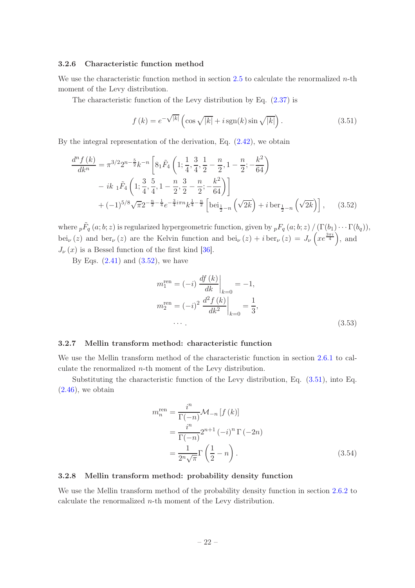# <span id="page-23-0"></span>3.2.6 Characteristic function method

We use the characteristic function method in section [2.5](#page-13-0) to calculate the renormalized  $n$ -th moment of the Levy distribution.

The characteristic function of the Levy distribution by Eq. [\(2.37\)](#page-13-6) is

<span id="page-23-4"></span>
$$
f(k) = e^{-\sqrt{|k|}} \left( \cos \sqrt{|k|} + i \operatorname{sgn}(k) \sin \sqrt{|k|} \right).
$$
 (3.51)

By the integral representation of the derivation, Eq.  $(2.42)$ , we obtain

$$
\frac{d^n f(k)}{dk^n} = \pi^{3/2} 2^{n - \frac{5}{2}} k^{-n} \left[ 8_1 \tilde{F}_4 \left( 1; \frac{1}{4}, \frac{3}{4}, \frac{1}{2} - \frac{n}{2}, 1 - \frac{n}{2}; -\frac{k^2}{64} \right) \right]
$$
  
\n
$$
- ik_1 \tilde{F}_4 \left( 1; \frac{3}{4}, \frac{5}{4}, 1 - \frac{n}{2}, \frac{3}{2} - \frac{n}{2}; -\frac{k^2}{64} \right) \Big]
$$
  
\n
$$
+ (-1)^{5/8} \sqrt{\pi} 2^{-\frac{n}{2} - \frac{1}{4}} e^{-\frac{3}{4} i \pi n} k^{\frac{1}{4} - \frac{n}{2}} \left[ b e^{i \frac{1}{2} - n} \left( \sqrt{2k} \right) + i b e^{i \frac{1}{2} - n} \left( \sqrt{2k} \right) \right], \quad (3.52)
$$

where  ${}_{p}\tilde{F}_{q}(a;b;z)$  is regularized hypergeometric function, given by  ${}_{p}F_{q}(a;b;z) / (\Gamma(b_1) \cdots \Gamma(b_q)),$ bei<sub>v</sub>(z) and ber<sub>v</sub>(z) are the Kelvin function and bei<sub>v</sub>(z) + i ber<sub>v</sub>(z) =  $J_{\nu}$ (xe<sup> $\frac{3\pi i}{4}$ </sup>), and  $J_{\nu}(x)$  is a Bessel function of the first kind [\[36](#page-47-7)].

By Eqs.  $(2.41)$  and  $(3.52)$ , we have

<span id="page-23-3"></span>
$$
m_1^{\text{ren}} = (-i) \left. \frac{df(k)}{dk} \right|_{k=0} = -1,
$$
  
\n
$$
m_2^{\text{ren}} = (-i)^2 \left. \frac{d^2 f(k)}{dk^2} \right|_{k=0} = \frac{1}{3},
$$
  
\n... (3.53)

# <span id="page-23-1"></span>3.2.7 Mellin transform method: characteristic function

We use the Mellin transform method of the characteristic function in section [2.6.1](#page-14-1) to calculate the renormalized n-th moment of the Levy distribution.

Substituting the characteristic function of the Levy distribution, Eq. [\(3.51\)](#page-23-4), into Eq.  $(2.46)$ , we obtain

$$
m_n^{\text{ren}} = \frac{i^n}{\Gamma(-n)} \mathcal{M}_{-n} \left[ f(k) \right]
$$
  
= 
$$
\frac{i^n}{\Gamma(-n)} 2^{n+1} (-i)^n \Gamma(-2n)
$$
  
= 
$$
\frac{1}{2^n \sqrt{\pi}} \Gamma\left(\frac{1}{2} - n\right).
$$
 (3.54)

#### <span id="page-23-2"></span>3.2.8 Mellin transform method: probability density function

We use the Mellin transform method of the probability density function in section [2.6.2](#page-14-2) to calculate the renormalized  $n$ -th moment of the Levy distribution.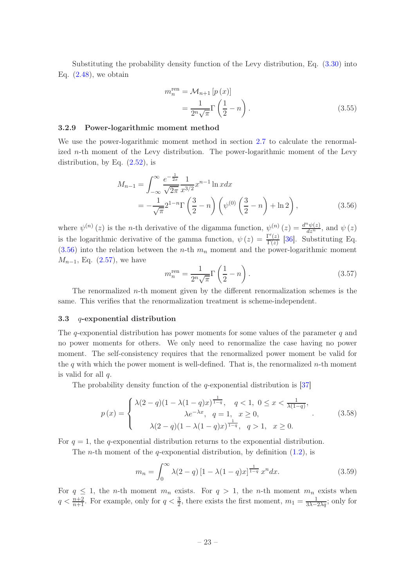Substituting the probability density function of the Levy distribution, Eq. [\(3.30\)](#page-20-4) into Eq.  $(2.48)$ , we obtain

$$
m_n^{\text{ren}} = \mathcal{M}_{n+1} \left[ p \left( x \right) \right]
$$

$$
= \frac{1}{2^n \sqrt{\pi}} \Gamma \left( \frac{1}{2} - n \right). \tag{3.55}
$$

# <span id="page-24-0"></span>3.2.9 Power-logarithmic moment method

We use the power-logarithmic moment method in section [2.7](#page-15-0) to calculate the renormalized  $n$ -th moment of the Levy distribution. The power-logarithmic moment of the Levy distribution, by Eq.  $(2.52)$ , is

$$
M_{n-1} = \int_{-\infty}^{\infty} \frac{e^{-\frac{1}{2x}}}{\sqrt{2\pi}} \frac{1}{x^{3/2}} x^{n-1} \ln x dx
$$
  
=  $-\frac{1}{\sqrt{\pi}} 2^{1-n} \Gamma\left(\frac{3}{2} - n\right) \left(\psi^{(0)}\left(\frac{3}{2} - n\right) + \ln 2\right),$  (3.56)

where  $\psi^{(n)}(z)$  is the *n*-th derivative of the digamma function,  $\psi^{(n)}(z) = \frac{d^n \psi(z)}{dz^n}$ , and  $\psi(z)$ is the logarithmic derivative of the gamma function,  $\psi(z) = \frac{\Gamma'(z)}{\Gamma(z)}$  $\frac{\Gamma(z)}{\Gamma(z)}$  [\[36](#page-47-7)]. Substituting Eq.  $(3.56)$  into the relation between the *n*-th  $m_n$  moment and the power-logarithmic moment  $M_{n-1}$ , Eq. [\(2.57\)](#page-15-5), we have

<span id="page-24-2"></span>
$$
m_n^{\text{ren}} = \frac{1}{2^n \sqrt{\pi}} \Gamma\left(\frac{1}{2} - n\right). \tag{3.57}
$$

The renormalized n-th moment given by the different renormalization schemes is the same. This verifies that the renormalization treatment is scheme-independent.

#### <span id="page-24-1"></span>3.3 q-exponential distribution

The *q*-exponential distribution has power moments for some values of the parameter  $q$  and no power moments for others. We only need to renormalize the case having no power moment. The self-consistency requires that the renormalized power moment be valid for the q with which the power moment is well-defined. That is, the renormalized  $n$ -th moment is valid for all q.

The probability density function of the  $q$ -exponential distribution is [\[37](#page-47-8)]

<span id="page-24-4"></span>
$$
p(x) = \begin{cases} \lambda(2-q)(1-\lambda(1-q)x)^{\frac{1}{1-q}}, & q < 1, \ 0 \le x < \frac{1}{\lambda(1-q)}, \\ \lambda e^{-\lambda x}, & q = 1, \ x \ge 0, \\ \lambda(2-q)(1-\lambda(1-q)x)^{\frac{1}{1-q}}, & q > 1, \ x \ge 0. \end{cases}
$$
(3.58)

For  $q = 1$ , the q-exponential distribution returns to the exponential distribution.

The *n*-th moment of the *q*-exponential distribution, by definition  $(1.2)$ , is

<span id="page-24-3"></span>
$$
m_n = \int_0^\infty \lambda(2-q) \left[1 - \lambda(1-q)x\right]_{\frac{1}{1-q}} x^n dx.
$$
 (3.59)

For  $q \leq 1$ , the n-th moment  $m_n$  exists. For  $q > 1$ , the n-th moment  $m_n$  exists when  $q < \frac{n+2}{n+1}$ . For example, only for  $q < \frac{3}{2}$ , there exists the first moment,  $m_1 = \frac{1}{3\lambda - 2\lambda q}$ ; only for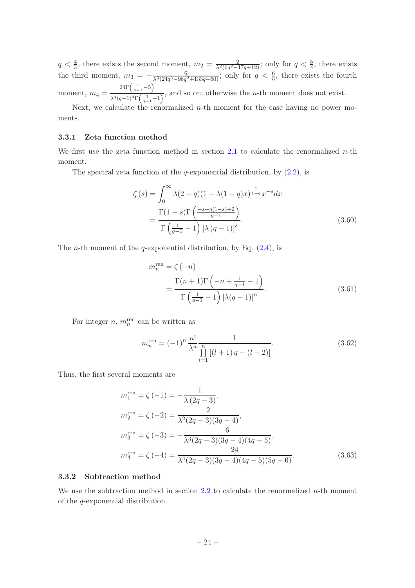$q < \frac{4}{3}$ , there exists the second moment,  $m_2 = \frac{2}{\lambda^2 (6q^2 - 17q + 12)}$ ; only for  $q < \frac{5}{4}$ , there exists the third moment,  $m_3 = -\frac{6}{\lambda^3(24q^3-98q^2+133q-60)}$ ; only for  $q < \frac{6}{5}$ , there exists the fourth moment,  $m_4 =$  $24\Gamma\left(\frac{1}{q-1}-5\right)$  $\frac{\sqrt{q-1}}{\lambda^4(q-1)^4\Gamma(\frac{1}{q-1}-1)}$ , and so on; otherwise the *n*-th moment does not exist.

Next, we calculate the renormalized  $n$ -th moment for the case having no power moments.

# <span id="page-25-0"></span>3.3.1 Zeta function method

We first use the zeta function method in section [2.1](#page-5-1) to calculate the renormalized  $n$ -th moment.

The spectral zeta function of the q-exponential distribution, by  $(2.2)$ , is

$$
\zeta(s) = \int_0^\infty \lambda(2-q)(1-\lambda(1-q)x)^{\frac{1}{1-q}}x^{-s}dx
$$

$$
= \frac{\Gamma(1-s)\Gamma\left(\frac{-s-q(1-s)+2}{q-1}\right)}{\Gamma\left(\frac{1}{q-1}-1\right)\left[\lambda(q-1)\right]^s}.
$$
(3.60)

The *n*-th moment of the *q*-exponential distribution, by Eq.  $(2.4)$ , is

<span id="page-25-2"></span>
$$
m_n^{\text{ren}} = \zeta(-n)
$$
  
= 
$$
\frac{\Gamma(n+1)\Gamma(-n+\frac{1}{q-1}-1)}{\Gamma(\frac{1}{q-1}-1)\left[\lambda(q-1)\right]^n}.
$$
 (3.61)

For integer  $n, m_n^{\text{ren}}$  can be written as

$$
m_n^{\text{ren}} = (-1)^n \frac{n!}{\lambda^n} \frac{1}{\prod_{l=1}^n \left[ (l+1)q - (l+2) \right]}.
$$
\n(3.62)

Thus, the first several moments are

$$
m_1^{\text{ren}} = \zeta(-1) = -\frac{1}{\lambda(2q-3)},
$$
  
\n
$$
m_2^{\text{ren}} = \zeta(-2) = \frac{2}{\lambda^2(2q-3)(3q-4)},
$$
  
\n
$$
m_3^{\text{ren}} = \zeta(-3) = -\frac{6}{\lambda^3(2q-3)(3q-4)(4q-5)},
$$
  
\n
$$
m_4^{\text{ren}} = \zeta(-4) = \frac{24}{\lambda^4(2q-3)(3q-4)(4q-5)(5q-6)}.
$$
\n(3.63)

# <span id="page-25-1"></span>3.3.2 Subtraction method

We use the subtraction method in section [2.2](#page-7-0) to calculate the renormalized  $n$ -th moment of the q-exponential distribution.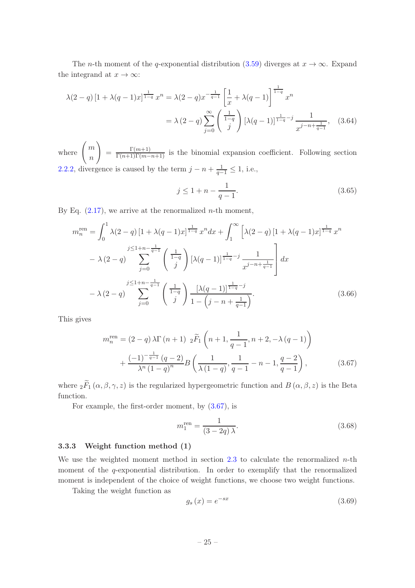The *n*-th moment of the q-exponential distribution [\(3.59\)](#page-24-3) diverges at  $x \to \infty$ . Expand the integrand at  $x \to \infty$ :

$$
\lambda(2-q) \left[1 + \lambda(q-1)x\right]^{1-\frac{1}{1-q}} x^n = \lambda(2-q)x^{-\frac{1}{q-1}} \left[\frac{1}{x} + \lambda(q-1)\right]^{1-\frac{1}{1-q}} x^n
$$
  
=  $\lambda(2-q) \sum_{j=0}^{\infty} \left(\frac{1}{j}\right) \left[\lambda(q-1)\right]^{1-\frac{1}{1-q}-j} \frac{1}{x^{j-n+\frac{1}{q-1}}},$  (3.64)

where  $\left( m \right)$ n  $\setminus$  $=\frac{\Gamma(m+1)}{\Gamma(n+1)\Gamma(m-n+1)}$  is the binomial expansion coefficient. Following section [2.2.2,](#page-8-0) divergence is caused by the term  $j - n + \frac{1}{q-1} \leq 1$ , i.e.,

$$
j \le 1 + n - \frac{1}{q - 1}.\tag{3.65}
$$

By Eq.  $(2.17)$ , we arrive at the renormalized *n*-th moment,

$$
m_n^{\text{ren}} = \int_0^1 \lambda(2-q) \left[1 + \lambda(q-1)x\right]^\frac{1}{1-q} x^n dx + \int_1^\infty \left[\lambda(2-q) \left[1 + \lambda(q-1)x\right]^\frac{1}{1-q} x^n\right] dx
$$
  

$$
- \lambda(2-q) \sum_{j=0}^{j \le 1+n-\frac{1}{q-1}} \left(\frac{1}{j}\right) \left[\lambda(q-1)\right]^\frac{1}{1-q-j} \frac{1}{x^{j-n+\frac{1}{q-1}}} dx
$$
  

$$
- \lambda(2-q) \sum_{j=0}^{j \le 1+n-\frac{1}{q-1}} \left(\frac{1}{j}\right) \frac{\left[\lambda(q-1)\right]^\frac{1}{1-q-j}}{1-\left(j-n+\frac{1}{q-1}\right)}.
$$
(3.66)

This gives

$$
m_n^{\text{ren}} = (2 - q) \lambda \Gamma(n+1) \, 2\widetilde{F}_1\left(n+1, \frac{1}{q-1}, n+2, -\lambda(q-1)\right) + \frac{(-1)^{-\frac{1}{q-1}}(q-2)}{\lambda^n \left(1-q\right)^n} B\left(\frac{1}{\lambda(1-q)}, \frac{1}{q-1} - n-1, \frac{q-2}{q-1}\right), \tag{3.67}
$$

where  $2\widetilde{F}_1(\alpha,\beta,\gamma,z)$  is the regularized hypergeometric function and  $B(\alpha,\beta,z)$  is the Beta function.

For example, the first-order moment, by [\(3.67\)](#page-26-1), is

<span id="page-26-1"></span>
$$
m_1^{\rm ren} = \frac{1}{(3 - 2q)\,\lambda}.\tag{3.68}
$$

# <span id="page-26-0"></span>3.3.3 Weight function method (1)

We use the weighted moment method in section  $2.3$  to calculate the renormalized *n*-th moment of the q-exponential distribution. In order to exemplify that the renormalized moment is independent of the choice of weight functions, we choose two weight functions.

Taking the weight function as

$$
g_s(x) = e^{-sx} \tag{3.69}
$$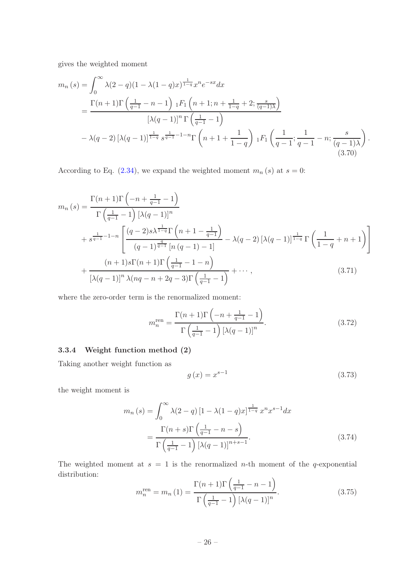gives the weighted moment

$$
m_n(s) = \int_0^\infty \lambda(2-q)(1-\lambda(1-q)x)^{\frac{1}{1-q}}x^n e^{-sx} dx
$$
  
= 
$$
\frac{\Gamma(n+1)\Gamma\left(\frac{1}{q-1}-n-1\right) \binom{1}{1} \left(n+1; n+\frac{1}{1-q}+2; \frac{s}{(q-1)\lambda}\right)}{[\lambda(q-1)]^n \Gamma\left(\frac{1}{q-1}-1\right)}
$$
  

$$
-\lambda(q-2)\left[\lambda(q-1)\right]^{\frac{1}{1-q}} s^{\frac{1}{q-1}-1-n} \Gamma\left(n+1+\frac{1}{1-q}\right) \binom{1}{1} \left(\frac{1}{q-1}; \frac{1}{q-1}-n; \frac{s}{(q-1)\lambda}\right).
$$
(3.70)

According to Eq. [\(2.34\)](#page-12-2), we expand the weighted moment  $m_n(s)$  at  $s = 0$ :

$$
m_n(s) = \frac{\Gamma(n+1)\Gamma(-n+\frac{1}{q-1}-1)}{\Gamma(\frac{1}{q-1}-1)\left[\lambda(q-1)\right]^n} + s^{\frac{1}{q-1}-1-n} \left[ \frac{(q-2)s\lambda^{\frac{1}{1-q}}\Gamma(n+1-\frac{1}{q-1})}{(q-1)^{\frac{q}{q-1}}\left[n(q-1)-1\right]} - \lambda(q-2)\left[\lambda(q-1)\right]^{\frac{1}{1-q}}\Gamma(\frac{1}{1-q}+n+1) \right] + \frac{(n+1)s\Gamma(n+1)\Gamma(\frac{1}{q-1}-1-n)}{\left[\lambda(q-1)\right]^n \lambda(nq-n+2q-3)\Gamma(\frac{1}{q-1}-1)} + \cdots, \tag{3.71}
$$

where the zero-order term is the renormalized moment:

$$
m_n^{\text{ren}} = \frac{\Gamma(n+1)\Gamma\left(-n + \frac{1}{q-1} - 1\right)}{\Gamma\left(\frac{1}{q-1} - 1\right)\left[\lambda(q-1)\right]^n}.
$$
\n(3.72)

# <span id="page-27-0"></span>3.3.4 Weight function method (2)

Taking another weight function as

$$
g(x) = x^{s-1}
$$
 (3.73)

the weight moment is

$$
m_n(s) = \int_0^\infty \lambda(2-q) \left[1 - \lambda(1-q)x\right]_{\frac{1}{1-q}}^{\frac{1}{1-q}} x^n x^{s-1} dx
$$

$$
= \frac{\Gamma(n+s)\Gamma\left(\frac{1}{q-1} - n - s\right)}{\Gamma\left(\frac{1}{q-1} - 1\right) \left[\lambda(q-1)\right]^{n+s-1}}.
$$
(3.74)

The weighted moment at  $s = 1$  is the renormalized *n*-th moment of the q-exponential distribution:  $\sim$ 

$$
m_n^{\text{ren}} = m_n(1) = \frac{\Gamma(n+1)\Gamma\left(\frac{1}{q-1} - n - 1\right)}{\Gamma\left(\frac{1}{q-1} - 1\right)\left[\lambda(q-1)\right]^n}.
$$
\n(3.75)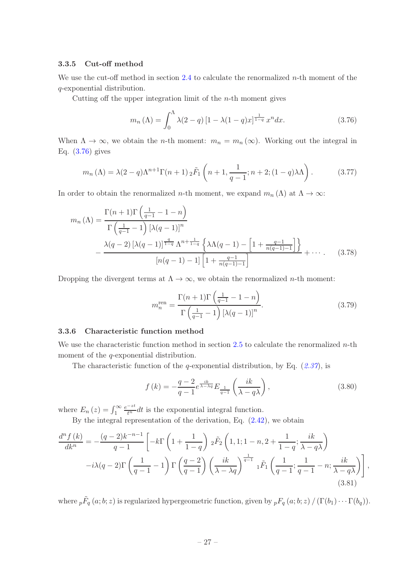# <span id="page-28-0"></span>3.3.5 Cut-off method

We use the cut-off method in section [2.4](#page-12-0) to calculate the renormalized  $n$ -th moment of the q-exponential distribution.

Cutting off the upper integration limit of the  $n$ -th moment gives

<span id="page-28-2"></span>
$$
m_n(\Lambda) = \int_0^{\Lambda} \lambda(2-q) \left[1 - \lambda(1-q)x\right]^{\frac{1}{1-q}} x^n dx. \tag{3.76}
$$

When  $\Lambda \to \infty$ , we obtain the *n*-th moment:  $m_n = m_n(\infty)$ . Working out the integral in Eq. [\(3.76\)](#page-28-2) gives

$$
m_n(\Lambda) = \lambda(2-q)\Lambda^{n+1}\Gamma(n+1) \,{}_2\tilde{F}_1\left(n+1,\frac{1}{q-1};n+2;(1-q)\lambda\Lambda\right). \tag{3.77}
$$

In order to obtain the renormalized *n*-th moment, we expand  $m_n(\Lambda)$  at  $\Lambda \to \infty$ :

$$
m_n(\Lambda) = \frac{\Gamma(n+1)\Gamma\left(\frac{1}{q-1} - 1 - n\right)}{\Gamma\left(\frac{1}{q-1} - 1\right) \left[\lambda(q-1)\right]^n} - \frac{\lambda(q-2)\left[\lambda(q-1)\right]^{\frac{q}{1-q}} \Lambda^{n+\frac{1}{1-q}} \left\{\lambda\Lambda(q-1) - \left[1 + \frac{q-1}{n(q-1)-1}\right]\right\}}{\left[n(q-1) - 1\right] \left[1 + \frac{q-1}{n(q-1)-1}\right]} + \cdots. \tag{3.78}
$$

Dropping the divergent terms at  $\Lambda \to \infty$ , we obtain the renormalized *n*-th moment:

$$
m_n^{\text{ren}} = \frac{\Gamma(n+1)\Gamma\left(\frac{1}{q-1} - 1 - n\right)}{\Gamma\left(\frac{1}{q-1} - 1\right)\left[\lambda(q-1)\right]^n}.\tag{3.79}
$$

#### <span id="page-28-1"></span>3.3.6 Characteristic function method

We use the characteristic function method in section [2.5](#page-13-0) to calculate the renormalized  $n$ -th moment of the *q*-exponential distribution.

The characteristic function of the q-exponential distribution, by Eq.  $(2.37)$  $(2.37)$  $(2.37)$ , is

<span id="page-28-3"></span>
$$
f(k) = -\frac{q-2}{q-1}e^{\frac{ik}{\lambda - \lambda q}}E_{\frac{1}{q-1}}\left(\frac{ik}{\lambda - q\lambda}\right),
$$
\n(3.80)

where  $E_n(z) = \int_1^\infty$  $\frac{e^{-zt}}{t^n}dt$  is the exponential integral function.

By the integral representation of the derivation, Eq. [\(2.42\)](#page-13-4), we obtain

$$
\frac{d^n f(k)}{dk^n} = -\frac{(q-2)k^{-n-1}}{q-1} \left[ -k \Gamma\left(1 + \frac{1}{1-q}\right) 2\tilde{F}_2\left(1, 1; 1-n, 2 + \frac{1}{1-q}; \frac{ik}{\lambda - q\lambda}\right) \right]
$$

$$
-i\lambda(q-2)\Gamma\left(\frac{1}{q-1} - 1\right) \Gamma\left(\frac{q-2}{q-1}\right) \left(\frac{ik}{\lambda - \lambda q}\right)^{\frac{1}{q-1}} {}_1\tilde{F}_1\left(\frac{1}{q-1}; \frac{1}{q-1} - n; \frac{ik}{\lambda - q\lambda}\right) \right],
$$
(3.81)

where  ${}_{p}\tilde{F}_{q}(a;b;z)$  is regularized hypergeometric function, given by  ${}_{p}F_{q}(a;b;z) / (\Gamma(b_{1}) \cdots \Gamma(b_{q}))$ .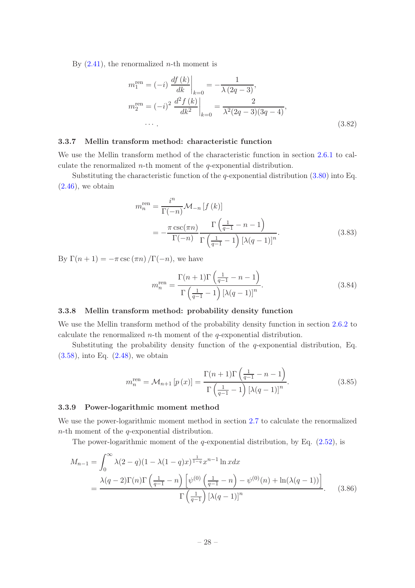By  $(2.41)$ , the renormalized *n*-th moment is

$$
m_1^{\text{ren}} = (-i) \left. \frac{df(k)}{dk} \right|_{k=0} = -\frac{1}{\lambda (2q-3)},
$$
  
\n
$$
m_2^{\text{ren}} = (-i)^2 \left. \frac{d^2 f(k)}{dk^2} \right|_{k=0} = \frac{2}{\lambda^2 (2q-3)(3q-4)},
$$
  
\n... (3.82)

# <span id="page-29-0"></span>3.3.7 Mellin transform method: characteristic function

We use the Mellin transform method of the characteristic function in section [2.6.1](#page-14-1) to calculate the renormalized  $n$ -th moment of the  $q$ -exponential distribution.

Substituting the characteristic function of the q-exponential distribution  $(3.80)$  into Eq.  $(2.46)$ , we obtain

$$
m_n^{\text{ren}} = \frac{i^n}{\Gamma(-n)} \mathcal{M}_{-n} \left[ f(k) \right]
$$
  
= 
$$
-\frac{\pi \csc(\pi n)}{\Gamma(-n)} \frac{\Gamma\left(\frac{1}{q-1} - n - 1\right)}{\Gamma\left(\frac{1}{q-1} - 1\right) \left[\lambda(q-1)\right]^n}.
$$
 (3.83)

By  $\Gamma(n+1) = -\pi \csc(\pi n) / \Gamma(-n)$ , we have

$$
m_n^{\text{ren}} = \frac{\Gamma(n+1)\Gamma\left(\frac{1}{q-1} - n - 1\right)}{\Gamma\left(\frac{1}{q-1} - 1\right)\left[\lambda(q-1)\right]^n}.
$$
\n(3.84)

# <span id="page-29-1"></span>3.3.8 Mellin transform method: probability density function

We use the Mellin transform method of the probability density function in section [2.6.2](#page-14-2) to calculate the renormalized  $n$ -th moment of the  $q$ -exponential distribution.

Substituting the probability density function of the q-exponential distribution, Eq. [\(3.58\)](#page-24-4), into Eq. [\(2.48\)](#page-14-6), we obtain

$$
m_n^{\text{ren}} = \mathcal{M}_{n+1} \left[ p \left( x \right) \right] = \frac{\Gamma(n+1)\Gamma\left(\frac{1}{q-1} - n - 1\right)}{\Gamma\left(\frac{1}{q-1} - 1\right) \left[ \lambda(q-1) \right]^n}.
$$
\n(3.85)

# <span id="page-29-2"></span>3.3.9 Power-logarithmic moment method

We use the power-logarithmic moment method in section [2.7](#page-15-0) to calculate the renormalized  $n$ -th moment of the  $q$ -exponential distribution.

The power-logarithmic moment of the q-exponential distribution, by Eq.  $(2.52)$ , is

$$
M_{n-1} = \int_0^\infty \lambda(2-q)(1-\lambda(1-q)x)^{\frac{1}{1-q}}x^{n-1}\ln x dx
$$
  
= 
$$
\frac{\lambda(q-2)\Gamma(n)\Gamma\left(\frac{1}{q-1}-n\right)\left[\psi^{(0)}\left(\frac{1}{q-1}-n\right)-\psi^{(0)}(n)+\ln(\lambda(q-1))\right]}{\Gamma\left(\frac{1}{q-1}\right)\left[\lambda(q-1)\right]^n}.
$$
 (3.86)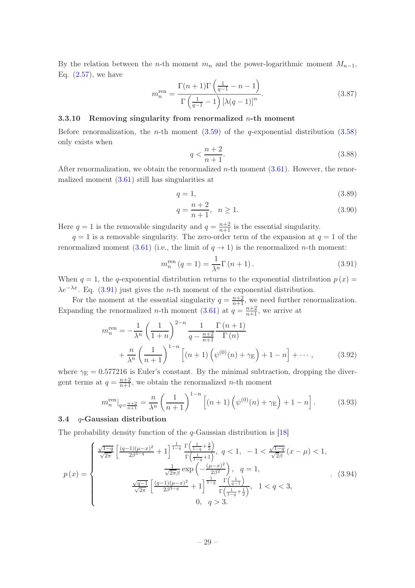By the relation between the n-th moment  $m_n$  and the power-logarithmic moment  $M_{n-1}$ , Eq.  $(2.57)$ , we have

$$
m_n^{\text{ren}} = \frac{\Gamma(n+1)\Gamma\left(\frac{1}{q-1} - n - 1\right)}{\Gamma\left(\frac{1}{q-1} - 1\right)\left[\lambda(q-1)\right]^n}.
$$
\n(3.87)

# <span id="page-30-0"></span>3.3.10 Removing singularity from renormalized  $n$ -th moment

Before renormalization, the *n*-th moment  $(3.59)$  of the *q*-exponential distribution  $(3.58)$ only exists when

$$
q < \frac{n+2}{n+1}.\tag{3.88}
$$

After renormalization, we obtain the renormalized  $n$ -th moment  $(3.61)$ . However, the renormalized moment  $(3.61)$  still has singularities at

$$
q = 1,\tag{3.89}
$$

$$
q = \frac{n+2}{n+1}, \quad n \ge 1.
$$
\n(3.90)

Here  $q = 1$  is the removable singularity and  $q = \frac{n+2}{n+1}$  is the essential singularity.

 $q = 1$  is a removable singularity. The zero-order term of the expansion at  $q = 1$  of the renormalized moment [\(3.61\)](#page-25-2) (i.e., the limit of  $q \to 1$ ) is the renormalized *n*-th moment:

<span id="page-30-2"></span>
$$
m_n^{\text{ren}}(q=1) = \frac{1}{\lambda^n} \Gamma(n+1).
$$
\n(3.91)

When  $q = 1$ , the q-exponential distribution returns to the exponential distribution  $p(x) =$  $\lambda e^{-\lambda x}$ . Eq. [\(3.91\)](#page-30-2) just gives the *n*-th moment of the exponential distribution.

For the moment at the essential singularity  $q = \frac{n+2}{n+1}$ , we need further renormalization. Expanding the renormalized *n*-th moment [\(3.61\)](#page-25-2) at  $q = \frac{n+2}{n+1}$ , we arrive at

$$
m_n^{\text{ren}} = -\frac{1}{\lambda^n} \left(\frac{1}{1+n}\right)^{2-n} \frac{1}{q - \frac{n+2}{n+1}} \frac{\Gamma(n+1)}{\Gamma(n)} + \frac{n}{\lambda^n} \left(\frac{1}{n+1}\right)^{1-n} \left[ (n+1) \left(\psi^{(0)}(n) + \gamma_{\text{E}}\right) + 1 - n \right] + \cdots, \tag{3.92}
$$

where  $\gamma_E = 0.577216$  is Euler's constant. By the minimal subtraction, dropping the divergent terms at  $q = \frac{n+2}{n+1}$ , we obtain the renormalized *n*-th moment

$$
m_n^{\text{ren}}|_{q=\frac{n+2}{n+1}} = \frac{n}{\lambda^n} \left(\frac{1}{n+1}\right)^{1-n} \left[ (n+1) \left(\psi^{(0)}(n) + \gamma_{\text{E}}\right) + 1 - n \right]. \tag{3.93}
$$

#### <span id="page-30-1"></span>3.4 q-Gaussian distribution

The probability density function of the  $q$ -Gaussian distribution is [\[18](#page-46-7)]

<span id="page-30-3"></span>
$$
p(x) = \begin{cases} \frac{\sqrt{1-q}}{\sqrt{2\pi}} \left[ \frac{(q-1)(\mu-x)^2}{2\beta^{3-q}} + 1 \right]^{\frac{1}{1-q}} \frac{\Gamma\left(\frac{1}{1-q} + \frac{3}{2}\right)}{\Gamma\left(\frac{1}{1-q} + 1\right)}, \ q < 1, \ -1 < \frac{\sqrt{1-q}}{\sqrt{2\beta}} \left( x - \mu \right) < 1, \\\\ \frac{1}{\sqrt{2\pi}} \exp\left(-\frac{(\mu-x)^2}{2\beta^2}\right), \ q = 1, \\\\ \frac{\sqrt{q-1}}{\sqrt{2\pi}} \left[ \frac{(q-1)(\mu-x)^2}{2\beta^{3-q}} + 1 \right]^{\frac{1}{1-q}} \frac{\Gamma\left(\frac{1}{q-1}\right)}{\Gamma\left(\frac{1}{1-q} + \frac{1}{2}\right)}, \ 1 < q < 3, \end{cases} \tag{3.94}
$$
\n
$$
0, \ q > 3.
$$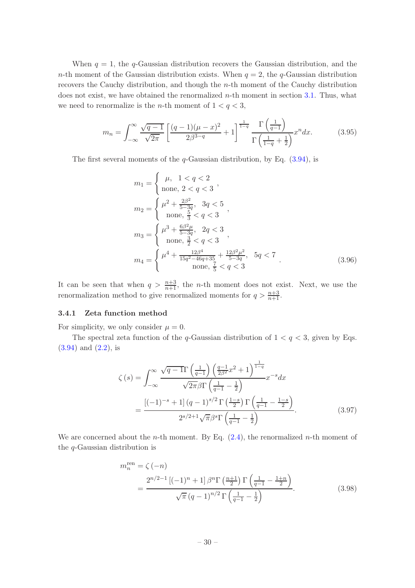When  $q = 1$ , the q-Gaussian distribution recovers the Gaussian distribution, and the n-th moment of the Gaussian distribution exists. When  $q = 2$ , the q-Gaussian distribution recovers the Cauchy distribution, and though the n-th moment of the Cauchy distribution does not exist, we have obtained the renormalized  $n$ -th moment in section [3.1.](#page-16-1) Thus, what we need to renormalize is the *n*-th moment of  $1 < q < 3$ ,

$$
m_n = \int_{-\infty}^{\infty} \frac{\sqrt{q-1}}{\sqrt{2\pi}} \left[ \frac{(q-1)(\mu - x)^2}{2\beta^{3-q}} + 1 \right]^{\frac{1}{1-q}} \frac{\Gamma\left(\frac{1}{q-1}\right)}{\Gamma\left(\frac{1}{1-q} + \frac{1}{2}\right)} x^n dx. \tag{3.95}
$$

The first several moments of the  $q$ -Gaussian distribution, by Eq.  $(3.94)$ , is

$$
m_1 = \begin{cases} \mu, & 1 < q < 2 \\ \text{none}, & 2 < q < 3 \end{cases},
$$
\n
$$
m_2 = \begin{cases} \mu^2 + \frac{2\beta^2}{5 - 3q}, & 3q < 5 \\ \text{none}, & \frac{5}{3} < q < 3 \end{cases},
$$
\n
$$
m_3 = \begin{cases} \mu^3 + \frac{6\beta^2 \mu}{5 - 3q}, & 2q < 3 \\ \text{none}, & \frac{3}{2} < q < 3 \end{cases},
$$
\n
$$
m_4 = \begin{cases} \mu^4 + \frac{12\beta^4}{15q^2 - 46q + 35} + \frac{12\beta^2 \mu^2}{5 - 3q}, & 5q < 7 \\ \text{none}, & \frac{7}{5} < q < 3 \end{cases} \tag{3.96}
$$

It can be seen that when  $q > \frac{n+3}{n+1}$ , the *n*-th moment does not exist. Next, we use the renormalization method to give renormalized moments for  $q > \frac{n+3}{n+1}$ .

# <span id="page-31-0"></span>3.4.1 Zeta function method

For simplicity, we only consider  $\mu = 0$ .

The spectral zeta function of the q-Gaussian distribution of  $1 < q < 3$ , given by Eqs. [\(3.94\)](#page-30-3) and [\(2.2\)](#page-6-0), is

$$
\zeta(s) = \int_{-\infty}^{\infty} \frac{\sqrt{q-1}\Gamma\left(\frac{1}{q-1}\right)\left(\frac{q-1}{2\beta^2}x^2 + 1\right)^{\frac{1}{1-q}}}{\sqrt{2\pi}\beta\Gamma\left(\frac{1}{q-1} - \frac{1}{2}\right)} x^{-s} dx
$$

$$
= \frac{\left[(-1)^{-s} + 1\right] (q-1)^{s/2} \Gamma\left(\frac{1-s}{2}\right) \Gamma\left(\frac{1}{q-1} - \frac{1-s}{2}\right)}{2^{s/2+1}\sqrt{\pi}\beta^s \Gamma\left(\frac{1}{q-1} - \frac{1}{2}\right)}.
$$
(3.97)

We are concerned about the *n*-th moment. By Eq.  $(2.4)$ , the renormalized *n*-th moment of the q-Gaussian distribution is

<span id="page-31-1"></span>
$$
m_n^{\text{ren}} = \zeta(-n)
$$
  
= 
$$
\frac{2^{n/2-1} \left[ (-1)^n + 1 \right] \beta^n \Gamma\left(\frac{n+1}{2}\right) \Gamma\left(\frac{1}{q-1} - \frac{1+n}{2}\right)}{\sqrt{\pi} (q-1)^{n/2} \Gamma\left(\frac{1}{q-1} - \frac{1}{2}\right)}.
$$
 (3.98)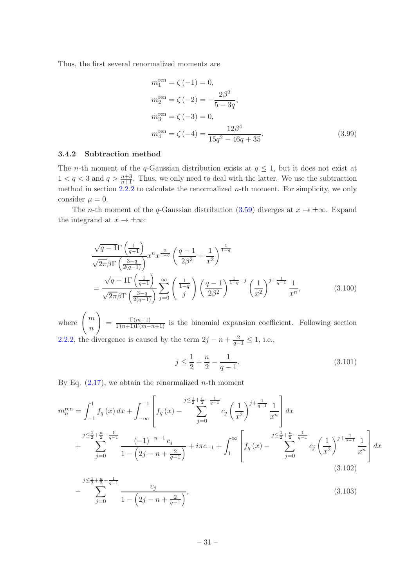Thus, the first several renormalized moments are

$$
m_1^{\text{ren}} = \zeta (-1) = 0,
$$
  
\n
$$
m_2^{\text{ren}} = \zeta (-2) = -\frac{2\beta^2}{5 - 3q},
$$
  
\n
$$
m_3^{\text{ren}} = \zeta (-3) = 0,
$$
  
\n
$$
m_4^{\text{ren}} = \zeta (-4) = \frac{12\beta^4}{15q^2 - 46q + 35}.
$$
\n(3.99)

#### <span id="page-32-0"></span>3.4.2 Subtraction method

The *n*-th moment of the *q*-Gaussian distribution exists at  $q \leq 1$ , but it does not exist at  $1 < q < 3$  and  $q > \frac{n+3}{n+1}$ . Thus, we only need to deal with the latter. We use the subtraction method in section  $2.2.2$  to calculate the renormalized *n*-th moment. For simplicity, we only consider  $\mu = 0$ .

The *n*-th moment of the q-Gaussian distribution [\(3.59\)](#page-24-3) diverges at  $x \to \pm \infty$ . Expand the integrand at  $x \to \pm \infty$ :

$$
\frac{\sqrt{q-1}\Gamma\left(\frac{1}{q-1}\right)}{\sqrt{2\pi}\beta\Gamma\left(\frac{3-q}{2(q-1)}\right)}x^n x^{\frac{2}{1-q}} \left(\frac{q-1}{2\beta^2} + \frac{1}{x^2}\right)^{\frac{1}{1-q}}
$$
\n
$$
= \frac{\sqrt{q-1}\Gamma\left(\frac{1}{q-1}\right)}{\sqrt{2\pi}\beta\Gamma\left(\frac{3-q}{2(q-1)}\right)} \sum_{j=0}^{\infty} \left(\frac{1}{j}\right) \left(\frac{q-1}{2\beta^2}\right)^{\frac{1}{1-q}-j} \left(\frac{1}{x^2}\right)^{j+\frac{1}{q-1}} \frac{1}{x^n},\tag{3.100}
$$

where  $\left( m \right)$ n  $\setminus$  $=\frac{\Gamma(m+1)}{\Gamma(n+1)\Gamma(m-n+1)}$  is the binomial expansion coefficient. Following section [2.2.2,](#page-8-0) the divergence is caused by the term  $2j - n + \frac{2}{q-1} \leq 1$ , i.e.,

$$
j \le \frac{1}{2} + \frac{n}{2} - \frac{1}{q - 1}.\tag{3.101}
$$

By Eq.  $(2.17)$ , we obtain the renormalized *n*-th moment

$$
m_n^{\text{ren}} = \int_{-1}^{1} f_q(x) dx + \int_{-\infty}^{-1} \left[ f_q(x) - \sum_{j=0}^{j \le \frac{1}{2} + \frac{n}{2} - \frac{1}{q-1}} c_j \left( \frac{1}{x^2} \right)^{j + \frac{1}{q-1}} \frac{1}{x^n} \right] dx
$$
  
+ 
$$
\sum_{j=0}^{j \le \frac{1}{2} + \frac{n}{2} - \frac{1}{q-1}} \frac{(-1)^{-n-1} c_j}{1 - \left( 2j - n + \frac{2}{q-1} \right)} + i\pi c_{-1} + \int_{1}^{\infty} \left[ f_q(x) - \sum_{j=0}^{j \le \frac{1}{2} + \frac{n}{2} - \frac{1}{q-1}} c_j \left( \frac{1}{x^2} \right)^{j + \frac{1}{q-1}} \frac{1}{x^n} \right] dx
$$
  
(3.102)

$$
-\sum_{j=0}^{j\leq \frac{1}{2}+\frac{n}{2}-\frac{1}{q-1}} \frac{c_j}{1-\left(2j-n+\frac{2}{q-1}\right)},\tag{3.103}
$$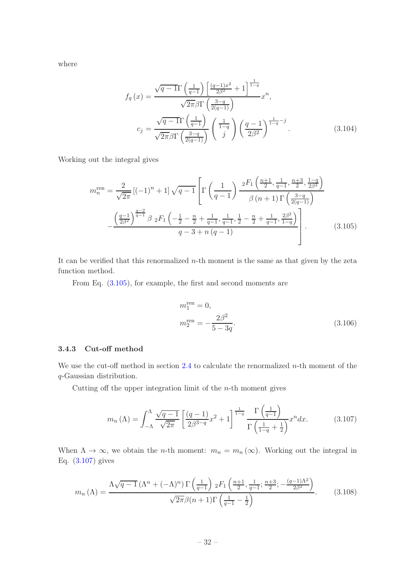where

$$
f_q(x) = \frac{\sqrt{q-1}\Gamma\left(\frac{1}{q-1}\right)\left[\frac{(q-1)x^2}{2\beta^2} + 1\right]^{\frac{1}{1-q}}}{\sqrt{2\pi}\beta\Gamma\left(\frac{3-q}{2(q-1)}\right)}x^n,
$$
  

$$
c_j = \frac{\sqrt{q-1}\Gamma\left(\frac{1}{q-1}\right)}{\sqrt{2\pi}\beta\Gamma\left(\frac{3-q}{2(q-1)}\right)}\left(\frac{1}{j}\right)\left(\frac{q-1}{2\beta^2}\right)^{\frac{1}{1-q}-j}.
$$
 (3.104)

Working out the integral gives

$$
m_n^{\text{ren}} = \frac{2}{\sqrt{2\pi}} \left[ (-1)^n + 1 \right] \sqrt{q-1} \left[ \Gamma\left(\frac{1}{q-1}\right) \frac{2F_1\left(\frac{n+1}{2}, \frac{1}{q-1}, \frac{n+3}{2}, \frac{1-q}{2\beta^2}\right)}{\beta \left(n+1\right) \Gamma\left(\frac{3-q}{2\left(q-1\right)}\right)} - \frac{\left(\frac{q-1}{2\beta^2}\right)^{\frac{q-2}{q-1}} \beta \, 2F_1\left(-\frac{1}{2} - \frac{n}{2} + \frac{1}{q-1}, \frac{1}{q-1}, \frac{1}{2} - \frac{n}{2} + \frac{1}{q-1}, \frac{2\beta^2}{1-q}\right)}{q-3+n\left(q-1\right)} - \frac{\left(\frac{q-1}{2\beta^2}\right)^{\frac{q-2}{q-1}} \beta \, 2F_1\left(-\frac{1}{2} - \frac{n}{2} + \frac{1}{q-1}, \frac{1}{q-1}, \frac{1}{2} - \frac{n}{2} + \frac{1}{q-1}, \frac{2\beta^2}{1-q}\right)}{(3.105)}
$$

It can be verified that this renormalized  $n$ -th moment is the same as that given by the zeta function method.

From Eq. [\(3.105\)](#page-33-1), for example, the first and second moments are

<span id="page-33-1"></span>
$$
m_1^{\text{ren}} = 0,
$$
  

$$
m_2^{\text{ren}} = -\frac{2\beta^2}{5 - 3q}.
$$
 (3.106)

# <span id="page-33-0"></span>3.4.3 Cut-off method

We use the cut-off method in section  $2.4$  to calculate the renormalized *n*-th moment of the q-Gaussian distribution.

Cutting off the upper integration limit of the  $n$ -th moment gives

<span id="page-33-2"></span>
$$
m_n\left(\Lambda\right) = \int_{-\Lambda}^{\Lambda} \frac{\sqrt{q-1}}{\sqrt{2\pi}} \left[ \frac{\left(q-1\right)}{2\beta^{3-q}} x^2 + 1 \right]^{\frac{1}{1-q}} \frac{\Gamma\left(\frac{1}{q-1}\right)}{\Gamma\left(\frac{1}{1-q} + \frac{1}{2}\right)} x^n dx. \tag{3.107}
$$

When  $\Lambda \to \infty$ , we obtain the *n*-th moment:  $m_n = m_n(\infty)$ . Working out the integral in Eq. [\(3.107\)](#page-33-2) gives

$$
m_n(\Lambda) = \frac{\Lambda \sqrt{q-1} \left(\Lambda^n + (-\Lambda)^n\right) \Gamma\left(\frac{1}{q-1}\right) {}_2F_1\left(\frac{n+1}{2}, \frac{1}{q-1}; \frac{n+3}{2}; -\frac{(q-1)\Lambda^2}{2\beta^2}\right)}{\sqrt{2\pi}\beta(n+1)\Gamma\left(\frac{1}{q-1} - \frac{1}{2}\right)}.
$$
(3.108)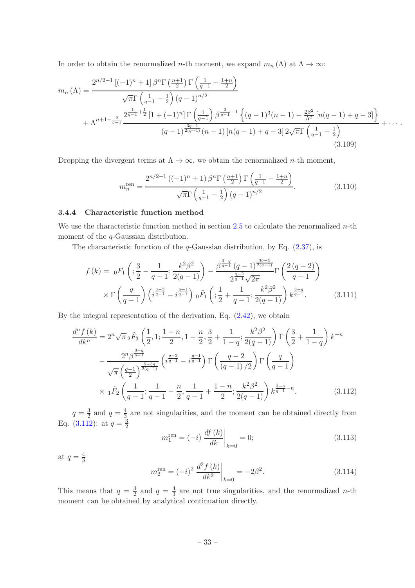In order to obtain the renormalized *n*-th moment, we expand  $m_n(\Lambda)$  at  $\Lambda \to \infty$ :

$$
m_n(\Lambda) = \frac{2^{n/2-1} \left[ (-1)^n + 1 \right] \beta^n \Gamma \left( \frac{n+1}{2} \right) \Gamma \left( \frac{1}{q-1} - \frac{1+n}{2} \right)}{\sqrt{\pi} \Gamma \left( \frac{1}{q-1} - \frac{1}{2} \right) (q-1)^{n/2}} + \Lambda^{n+1 - \frac{2}{q-1}} \frac{2^{\frac{1}{q-1} + \frac{1}{2}} \left[ 1 + (-1)^n \right] \Gamma \left( \frac{1}{q-1} \right) \beta^{\frac{2}{q-1} - 1} \left\{ (q-1)^3 (n-1) - \frac{2\beta^2}{\Lambda^2} \left[ n(q-1) + q - 3 \right] \right\}}{(q-1)^{\frac{3q-1}{2(q-1)}} (n-1) \left[ n(q-1) + q - 3 \right] 2\sqrt{\pi} \Gamma \left( \frac{1}{q-1} - \frac{1}{2} \right)}
$$
\n(3.109)

Dropping the divergent terms at  $\Lambda \to \infty$ , we obtain the renormalized *n*-th moment,

$$
m_n^{\text{ren}} = \frac{2^{n/2-1} ((-1)^n + 1) \beta^n \Gamma\left(\frac{n+1}{2}\right) \Gamma\left(\frac{1}{q-1} - \frac{1+n}{2}\right)}{\sqrt{\pi} \Gamma\left(\frac{1}{q-1} - \frac{1}{2}\right) (q-1)^{n/2}}.
$$
(3.110)

# <span id="page-34-0"></span>3.4.4 Characteristic function method

We use the characteristic function method in section [2.5](#page-13-0) to calculate the renormalized  $n$ -th moment of the *q*-Gaussian distribution.

The characteristic function of the  $q$ -Gaussian distribution, by Eq.  $(2.37)$ , is

$$
f(k) = {}_{0}F_{1}\left(\frac{3}{2} - \frac{1}{q-1}; \frac{k^{2}\beta^{2}}{2(q-1)}\right) - \frac{\beta^{\frac{3-q}{q-1}}(q-1)^{\frac{3q-5}{2(q-1)}}}{2^{\frac{q-2}{q-1}}\sqrt{2\pi}}\Gamma\left(\frac{2(q-2)}{q-1}\right)
$$

$$
\times \Gamma\left(\frac{q}{q-1}\right)\left(i^{\frac{q-3}{q-1}} - i^{\frac{q+1}{q-1}}\right) {}_{0}\tilde{F}_{1}\left(\frac{1}{2} + \frac{1}{q-1}; \frac{k^{2}\beta^{2}}{2(q-1)}\right)k^{\frac{3-q}{q-1}}.
$$
(3.111)

By the integral representation of the derivation, Eq. [\(2.42\)](#page-13-4), we obtain

$$
\frac{d^n f(k)}{dk^n} = 2^n \sqrt{\pi}_2 \tilde{F}_3 \left( \frac{1}{2}, 1; \frac{1-n}{2}, 1 - \frac{n}{2}, \frac{3}{2} + \frac{1}{1-q}; \frac{k^2 \beta^2}{2(q-1)} \right) \Gamma \left( \frac{3}{2} + \frac{1}{1-q} \right) k^{-n}
$$

$$
- \frac{2^n \beta^{\frac{3-q}{q-1}}}{\sqrt{\pi} \left( \frac{q-1}{2} \right)^{\frac{5-3q}{2(q-1)}}} \left( i^{\frac{q-3}{q-1}} - i^{\frac{q+1}{q-1}} \right) \Gamma \left( \frac{q-2}{(q-1)/2} \right) \Gamma \left( \frac{q}{q-1} \right)
$$

$$
\times 1^{\tilde{F}_2} \left( \frac{1}{q-1}; \frac{1}{q-1} - \frac{n}{2}, \frac{1}{q-1} + \frac{1-n}{2}; \frac{k^2 \beta^2}{2(q-1)} \right) k^{\frac{3-q}{q-1} - n}.
$$
(3.112)

 $q=\frac{3}{2}$  $rac{3}{2}$  and  $q=\frac{4}{3}$  $\frac{4}{3}$  are not singularities, and the moment can be obtained directly from Eq. [\(3.112\)](#page-34-1): at  $q = \frac{3}{2}$ 2  $\log \left| \frac{df(k)}{k} \right|$ 

<span id="page-34-2"></span><span id="page-34-1"></span>
$$
m_1^{\text{ren}} = (-i) \left. \frac{df(k)}{dk} \right|_{k=0} = 0; \tag{3.113}
$$

at  $q=\frac{4}{3}$ 3

$$
m_2^{\text{ren}} = (-i)^2 \left. \frac{d^2 f(k)}{dk^2} \right|_{k=0} = -2\beta^2. \tag{3.114}
$$

This means that  $q = \frac{3}{2}$  $\frac{3}{2}$  and  $q = \frac{4}{3}$  $\frac{4}{3}$  are not true singularities, and the renormalized *n*-th moment can be obtained by analytical continuation directly.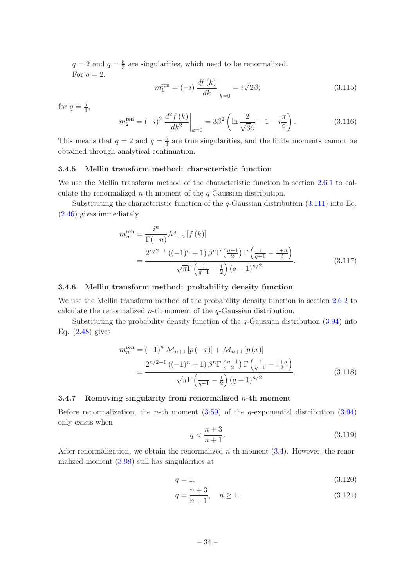$q=2$  and  $q=\frac{5}{3}$  $\frac{5}{3}$  are singularities, which need to be renormalized. For  $q=2$ ,

$$
m_1^{\text{ren}} = (-i) \left. \frac{df(k)}{dk} \right|_{k=0} = i\sqrt{2}\beta; \tag{3.115}
$$

for  $q=\frac{5}{3}$ ,

$$
m_2^{\text{ren}} = (-i)^2 \left. \frac{d^2 f(k)}{dk^2} \right|_{k=0} = 3\beta^2 \left( \ln \frac{2}{\sqrt{3}\beta} - 1 - i\frac{\pi}{2} \right). \tag{3.116}
$$

This means that  $q=2$  and  $q=\frac{5}{3}$  $\frac{5}{3}$  are true singularities, and the finite moments cannot be obtained through analytical continuation.

# <span id="page-35-0"></span>3.4.5 Mellin transform method: characteristic function

We use the Mellin transform method of the characteristic function in section [2.6.1](#page-14-1) to calculate the renormalized *n*-th moment of the  $q$ -Gaussian distribution.

Substituting the characteristic function of the  $q$ -Gaussian distribution [\(3.111\)](#page-34-2) into Eq. [\(2.46\)](#page-14-5) gives immediately

$$
m_n^{\text{ren}} = \frac{i^n}{\Gamma(-n)} \mathcal{M}_{-n} \left[ f(k) \right]
$$
  
= 
$$
\frac{2^{n/2-1} \left( (-1)^n + 1 \right) \beta^n \Gamma\left( \frac{n+1}{2} \right) \Gamma\left( \frac{1}{q-1} - \frac{1+n}{2} \right)}{\sqrt{\pi} \Gamma\left( \frac{1}{q-1} - \frac{1}{2} \right) (q-1)^{n/2}}.
$$
 (3.117)

# <span id="page-35-1"></span>3.4.6 Mellin transform method: probability density function

We use the Mellin transform method of the probability density function in section [2.6.2](#page-14-2) to calculate the renormalized  $n$ -th moment of the  $q$ -Gaussian distribution.

Substituting the probability density function of the  $q$ -Gaussian distribution  $(3.94)$  into Eq. [\(2.48\)](#page-14-6) gives

$$
m_n^{\text{ren}} = (-1)^n \mathcal{M}_{n+1} \left[ p(-x) \right] + \mathcal{M}_{n+1} \left[ p(x) \right]
$$
  
= 
$$
\frac{2^{n/2-1} \left( (-1)^n + 1 \right) \beta^n \Gamma \left( \frac{n+1}{2} \right) \Gamma \left( \frac{1}{q-1} - \frac{1+n}{2} \right)}{\sqrt{\pi} \Gamma \left( \frac{1}{q-1} - \frac{1}{2} \right) (q-1)^{n/2}}.
$$
 (3.118)

#### <span id="page-35-2"></span>3.4.7 Removing singularity from renormalized  $n$ -th moment

Before renormalization, the *n*-th moment  $(3.59)$  of the *q*-exponential distribution  $(3.94)$ only exists when

$$
q < \frac{n+3}{n+1}.\tag{3.119}
$$

After renormalization, we obtain the renormalized  $n$ -th moment  $(3.4)$ . However, the renormalized moment [\(3.98\)](#page-31-1) still has singularities at

$$
q = 1,\tag{3.120}
$$

$$
q = \frac{n+3}{n+1}, \quad n \ge 1. \tag{3.121}
$$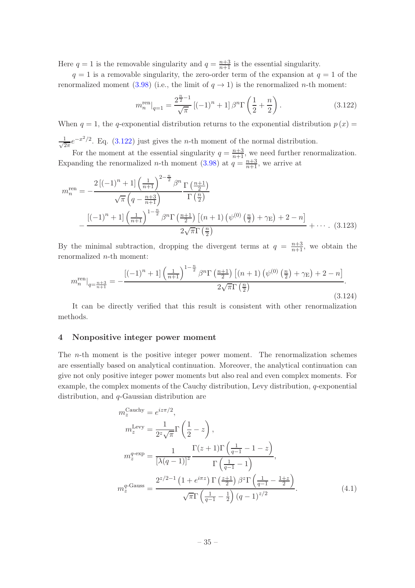Here  $q = 1$  is the removable singularity and  $q = \frac{n+3}{n+1}$  is the essential singularity.

 $q = 1$  is a removable singularity, the zero-order term of the expansion at  $q = 1$  of the renormalized moment [\(3.98\)](#page-31-1) (i.e., the limit of  $q \to 1$ ) is the renormalized *n*-th moment:

<span id="page-36-1"></span>
$$
m_n^{\text{ren}}|_{q=1} = \frac{2^{\frac{n}{2}-1}}{\sqrt{\pi}} \left[ (-1)^n + 1 \right] \beta^n \Gamma\left(\frac{1}{2} + \frac{n}{2}\right). \tag{3.122}
$$

When  $q = 1$ , the q-exponential distribution returns to the exponential distribution  $p(x) =$  $\frac{1}{\sqrt{2}}$  $\frac{1}{2\pi}e^{-x^2/2}$ . Eq. [\(3.122\)](#page-36-1) just gives the *n*-th moment of the normal distribution.

For the moment at the essential singularity  $q = \frac{n+3}{n+1}$ , we need further renormalization. Expanding the renormalized *n*-th moment [\(3.98\)](#page-31-1) at  $q = \frac{n+3}{n+1}$ , we arrive at

$$
m_n^{\text{ren}} = -\frac{2\left[(-1)^n + 1\right]\left(\frac{1}{n+1}\right)^{2-\frac{n}{2}}\beta^n \Gamma\left(\frac{n+1}{2}\right)}{\sqrt{\pi}\left(q - \frac{n+3}{n+1}\right)} \frac{\Gamma\left(\frac{n}{2}\right)}{\Gamma\left(\frac{n}{2}\right)}
$$

$$
-\frac{\left[(-1)^n + 1\right]\left(\frac{1}{n+1}\right)^{1-\frac{n}{2}}\beta^n \Gamma\left(\frac{n+1}{2}\right)\left[(n+1)\left(\psi^{(0)}\left(\frac{n}{2}\right) + \gamma_{\text{E}}\right) + 2 - n\right]}{2\sqrt{\pi}\Gamma\left(\frac{n}{2}\right)} + \cdots. (3.123)
$$

By the minimal subtraction, dropping the divergent terms at  $q = \frac{n+3}{n+1}$ , we obtain the renormalized n-th moment:

$$
m_n^{\text{ren}}|_{q=\frac{n+3}{n+1}} = -\frac{\left[(-1)^n + 1\right] \left(\frac{1}{n+1}\right)^{1-\frac{n}{2}} \beta^n \Gamma\left(\frac{n+1}{2}\right) \left[(n+1)\left(\psi^{(0)}\left(\frac{n}{2}\right) + \gamma_{\text{E}}\right) + 2 - n\right]}{2\sqrt{\pi} \Gamma\left(\frac{n}{2}\right)}.
$$
\n(3.124)

It can be directly verified that this result is consistent with other renormalization methods.

# <span id="page-36-0"></span>4 Nonpositive integer power moment

The n-th moment is the positive integer power moment. The renormalization schemes are essentially based on analytical continuation. Moreover, the analytical continuation can give not only positive integer power moments but also real and even complex moments. For example, the complex moments of the Cauchy distribution, Levy distribution, q-exponential distribution, and q-Gaussian distribution are

$$
m_z^{\text{Cauchy}} = e^{iz\pi/2},
$$
  
\n
$$
m_z^{\text{Levy}} = \frac{1}{2^z \sqrt{\pi}} \Gamma\left(\frac{1}{2} - z\right),
$$
  
\n
$$
m_z^{\text{q-exp}} = \frac{1}{\left[\lambda(q-1)\right]^z} \frac{\Gamma(z+1)\Gamma\left(\frac{1}{q-1} - 1 - z\right)}{\Gamma\left(\frac{1}{q-1} - 1\right)},
$$
  
\n
$$
m_z^{\text{q-Gauss}} = \frac{2^{z/2-1} \left(1 + e^{i\pi z}\right) \Gamma\left(\frac{z+1}{2}\right) \beta^z \Gamma\left(\frac{1}{q-1} - \frac{1+z}{2}\right)}{\sqrt{\pi} \Gamma\left(\frac{1}{q-1} - \frac{1}{2}\right) (q-1)^{z/2}}.
$$
\n(4.1)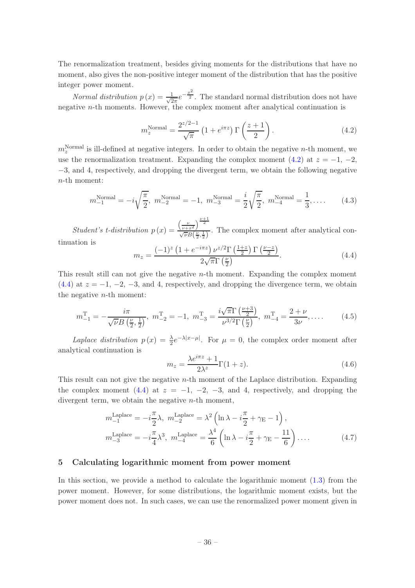The renormalization treatment, besides giving moments for the distributions that have no moment, also gives the non-positive integer moment of the distribution that has the positive integer power moment.

Normal distribution  $p(x) = \frac{1}{\sqrt{2}}$  $\frac{1}{2\pi}e^{-\frac{x^2}{2}}$ . The standard normal distribution does not have negative *n*-th moments. However, the complex moment after analytical continuation is

<span id="page-37-1"></span>
$$
m_z^{\text{Normal}} = \frac{2^{z/2 - 1}}{\sqrt{\pi}} \left( 1 + e^{i\pi z} \right) \Gamma\left(\frac{z + 1}{2}\right). \tag{4.2}
$$

 $m_z^{\text{Normal}}$  is ill-defined at negative integers. In order to obtain the negative *n*-th moment, we use the renormalization treatment. Expanding the complex moment [\(4.2\)](#page-37-1) at  $z = -1, -2,$ −3, and 4, respectively, and dropping the divergent term, we obtain the following negative n-th moment:

$$
m_{-1}^{\text{Normal}} = -i\sqrt{\frac{\pi}{2}}, \ m_{-2}^{\text{Normal}} = -1, \ m_{-3}^{\text{Normal}} = \frac{i}{2}\sqrt{\frac{\pi}{2}}, \ m_{-4}^{\text{Normal}} = \frac{1}{3}, \dots \tag{4.3}
$$

Student's t-distribution  $p(x) =$  $\left(\frac{\nu}{\nu+x^2}\right)^{\frac{\nu+1}{2}}$  $\frac{\sqrt{\nu+x^2}}{\sqrt{\nu B}(\frac{\nu}{2},\frac{1}{2})}$ . The complex moment after analytical continuation is

<span id="page-37-2"></span>
$$
m_z = \frac{(-1)^z \left(1 + e^{-i\pi z}\right) \nu^{z/2} \Gamma\left(\frac{1+z}{2}\right) \Gamma\left(\frac{\nu - z}{2}\right)}{2\sqrt{\pi} \Gamma\left(\frac{\nu}{2}\right)}.
$$
\n(4.4)

This result still can not give the negative n-th moment. Expanding the complex moment [\(4.4\)](#page-37-2) at  $z = -1, -2, -3$ , and 4, respectively, and dropping the divergence term, we obtain the negative  $n$ -th moment:

$$
m_{-1}^{\mathrm{T}} = -\frac{i\pi}{\sqrt{\nu}B\left(\frac{\nu}{2},\frac{1}{2}\right)}, \ m_{-2}^{\mathrm{T}} = -1, \ m_{-3}^{\mathrm{T}} = \frac{i\sqrt{\pi}\Gamma\left(\frac{\nu+3}{2}\right)}{\nu^{3/2}\Gamma\left(\frac{\nu}{2}\right)}, \ m_{-4}^{\mathrm{T}} = \frac{2+\nu}{3\nu}, \dots \tag{4.5}
$$

Laplace distribution  $p(x) = \frac{\lambda}{2}e^{-\lambda|x-\mu|}$ . For  $\mu = 0$ , the complex order moment after analytical continuation is

$$
m_z = \frac{\lambda e^{i\pi z} + 1}{2\lambda^z} \Gamma(1+z).
$$
\n(4.6)

This result can not give the negative  $n$ -th moment of the Laplace distribution. Expanding the complex moment [\(4.4\)](#page-37-2) at  $z = -1, -2, -3,$  and 4, respectively, and dropping the divergent term, we obtain the negative *n*-th moment,

$$
m_{-1}^{\text{Laplace}} = -i\frac{\pi}{2}\lambda, \ m_{-2}^{\text{Laplace}} = \lambda^2 \left(\ln \lambda - i\frac{\pi}{2} + \gamma_{\text{E}} - 1\right),
$$
  

$$
m_{-3}^{\text{Laplace}} = -i\frac{\pi}{4}\lambda^3, \ m_{-4}^{\text{Laplace}} = \frac{\lambda^4}{6} \left(\ln \lambda - i\frac{\pi}{2} + \gamma_{\text{E}} - \frac{11}{6}\right) \dots
$$
 (4.7)

# <span id="page-37-0"></span>5 Calculating logarithmic moment from power moment

In this section, we provide a method to calculate the logarithmic moment [\(1.3\)](#page-3-1) from the power moment. However, for some distributions, the logarithmic moment exists, but the power moment does not. In such cases, we can use the renormalized power moment given in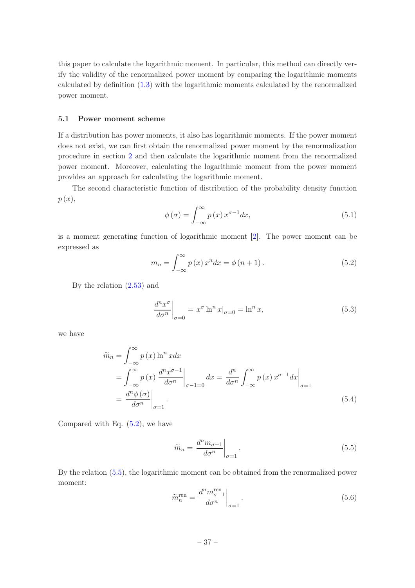this paper to calculate the logarithmic moment. In particular, this method can directly verify the validity of the renormalized power moment by comparing the logarithmic moments calculated by definition [\(1.3\)](#page-3-1) with the logarithmic moments calculated by the renormalized power moment.

# <span id="page-38-0"></span>5.1 Power moment scheme

If a distribution has power moments, it also has logarithmic moments. If the power moment does not exist, we can first obtain the renormalized power moment by the renormalization procedure in section [2](#page-5-0) and then calculate the logarithmic moment from the renormalized power moment. Moreover, calculating the logarithmic moment from the power moment provides an approach for calculating the logarithmic moment.

The second characteristic function of distribution of the probability density function  $p(x),$ 

<span id="page-38-3"></span>
$$
\phi(\sigma) = \int_{-\infty}^{\infty} p(x) x^{\sigma - 1} dx,
$$
\n(5.1)

is a moment generating function of logarithmic moment [\[2\]](#page-45-1). The power moment can be expressed as

<span id="page-38-1"></span>
$$
m_n = \int_{-\infty}^{\infty} p(x) x^n dx = \phi(n+1).
$$
 (5.2)

By the relation [\(2.53\)](#page-15-6) and

$$
\left. \frac{d^n x^{\sigma}}{d\sigma^n} \right|_{\sigma=0} = x^{\sigma} \ln^n x|_{\sigma=0} = \ln^n x,\tag{5.3}
$$

we have

$$
\widetilde{m}_n = \int_{-\infty}^{\infty} p(x) \ln^n x dx
$$
  
\n
$$
= \int_{-\infty}^{\infty} p(x) \frac{d^n x^{\sigma - 1}}{d\sigma^n} \Big|_{\sigma - 1 = 0} dx = \frac{d^n}{d\sigma^n} \int_{-\infty}^{\infty} p(x) x^{\sigma - 1} dx \Big|_{\sigma = 1}
$$
  
\n
$$
= \frac{d^n \phi(\sigma)}{d\sigma^n} \Big|_{\sigma = 1}.
$$
\n(5.4)

Compared with Eq.  $(5.2)$ , we have

<span id="page-38-2"></span>
$$
\widetilde{m}_n = \left. \frac{d^n m_{\sigma - 1}}{d\sigma^n} \right|_{\sigma = 1} . \tag{5.5}
$$

By the relation [\(5.5\)](#page-38-2), the logarithmic moment can be obtained from the renormalized power moment:

$$
\widetilde{m}_n^{\text{ren}} = \frac{d^n m_{\sigma-1}^{\text{ren}}}{d\sigma^n} \bigg|_{\sigma=1}.
$$
\n(5.6)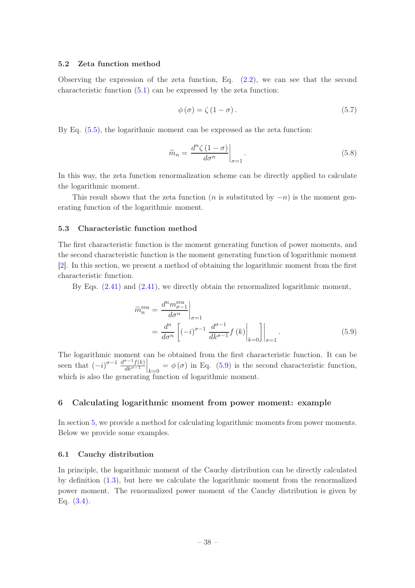# <span id="page-39-0"></span>5.2 Zeta function method

Observing the expression of the zeta function, Eq.  $(2.2)$ , we can see that the second characteristic function  $(5.1)$  can be expressed by the zeta function:

$$
\phi(\sigma) = \zeta (1 - \sigma). \tag{5.7}
$$

By Eq. [\(5.5\)](#page-38-2), the logarithmic moment can be expressed as the zeta function:

$$
\widetilde{m}_n = \frac{d^n \zeta \left(1 - \sigma\right)}{d\sigma^n} \bigg|_{\sigma = 1} . \tag{5.8}
$$

In this way, the zeta function renormalization scheme can be directly applied to calculate the logarithmic moment.

This result shows that the zeta function (*n* is substituted by  $-n$ ) is the moment generating function of the logarithmic moment.

# <span id="page-39-1"></span>5.3 Characteristic function method

The first characteristic function is the moment generating function of power moments, and the second characteristic function is the moment generating function of logarithmic moment [\[2\]](#page-45-1). In this section, we present a method of obtaining the logarithmic moment from the first characteristic function.

By Eqs. [\(2.41\)](#page-13-3) and [\(2.41\)](#page-13-3), we directly obtain the renormalized logarithmic moment,

<span id="page-39-4"></span>
$$
\widetilde{m}_{n}^{\text{ren}} = \frac{d^{n} m_{\sigma-1}^{\text{ren}}}{d\sigma^{n}} \bigg|_{\sigma=1}
$$
\n
$$
= \frac{d^{n}}{d\sigma^{n}} \left[ (-i)^{\sigma-1} \frac{d^{\sigma-1}}{dk^{\sigma-1}} f(k) \bigg|_{k=0} \right] \bigg|_{\sigma=1}.
$$
\n(5.9)

The logarithmic moment can be obtained from the first characteristic function. It can be seen that  $(-i)^{\sigma-1} \frac{d^{\sigma-1} f(k)}{dk^{\sigma-1}}$  $dk^{\sigma-1}$  $\Big|_{k=0} = \phi(\sigma)$  in Eq. [\(5.9\)](#page-39-4) is the second characteristic function, which is also the generating function of logarithmic moment.

# <span id="page-39-2"></span>6 Calculating logarithmic moment from power moment: example

In section [5,](#page-37-0) we provide a method for calculating logarithmic moments from power moments. Below we provide some examples.

# <span id="page-39-3"></span>6.1 Cauchy distribution

In principle, the logarithmic moment of the Cauchy distribution can be directly calculated by definition [\(1.3\)](#page-3-1), but here we calculate the logarithmic moment from the renormalized power moment. The renormalized power moment of the Cauchy distribution is given by Eq. [\(3.4\)](#page-16-5).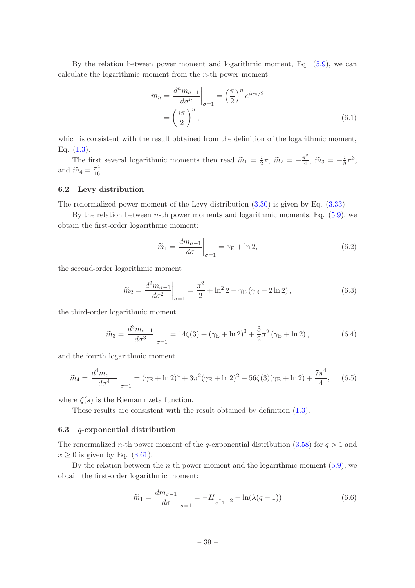By the relation between power moment and logarithmic moment, Eq. [\(5.9\)](#page-39-4), we can calculate the logarithmic moment from the n-th power moment:

$$
\widetilde{m}_n = \frac{d^n m_{\sigma - 1}}{d\sigma^n} \bigg|_{\sigma = 1} = \left(\frac{\pi}{2}\right)^n e^{in\pi/2}
$$
\n
$$
= \left(\frac{i\pi}{2}\right)^n,\tag{6.1}
$$

which is consistent with the result obtained from the definition of the logarithmic moment, Eq.  $(1.3)$ .

The first several logarithmic moments then read  $\widetilde{m}_1 = \frac{i}{2}$  $\frac{i}{2}\pi, \ \widetilde{m}_2 = -\frac{\pi^2}{4}$  $\frac{\pi^2}{4}$ ,  $\widetilde{m}_3 = -\frac{i}{8}$  $\frac{i}{8}\pi^3,$ and  $\widetilde{m}_4 = \frac{\pi^4}{16}$ .

#### <span id="page-40-0"></span>6.2 Levy distribution

The renormalized power moment of the Levy distribution [\(3.30\)](#page-20-4) is given by Eq. [\(3.33\)](#page-20-5).

By the relation between *n*-th power moments and logarithmic moments, Eq.  $(5.9)$ , we obtain the first-order logarithmic moment:

$$
\widetilde{m}_1 = \frac{dm_{\sigma-1}}{d\sigma}\bigg|_{\sigma=1} = \gamma_E + \ln 2,\tag{6.2}
$$

the second-order logarithmic moment

$$
\widetilde{m}_2 = \frac{d^2 m_{\sigma - 1}}{d\sigma^2} \bigg|_{\sigma = 1} = \frac{\pi^2}{2} + \ln^2 2 + \gamma_{\rm E} (\gamma_{\rm E} + 2 \ln 2), \tag{6.3}
$$

the third-order logarithmic moment

$$
\widetilde{m}_3 = \frac{d^3 m_{\sigma - 1}}{d\sigma^3} \bigg|_{\sigma = 1} = 14\zeta(3) + (\gamma_E + \ln 2)^3 + \frac{3}{2}\pi^2(\gamma_E + \ln 2),\tag{6.4}
$$

and the fourth logarithmic moment

$$
\widetilde{m}_4 = \frac{d^4 m_{\sigma - 1}}{d\sigma^4} \bigg|_{\sigma = 1} = (\gamma_E + \ln 2)^4 + 3\pi^2 (\gamma_E + \ln 2)^2 + 56\zeta (3)(\gamma_E + \ln 2) + \frac{7\pi^4}{4}, \quad (6.5)
$$

where  $\zeta(s)$  is the Riemann zeta function.

These results are consistent with the result obtained by definition  $(1.3)$ .

#### <span id="page-40-1"></span>6.3 q-exponential distribution

The renormalized n-th power moment of the q-exponential distribution [\(3.58\)](#page-24-4) for  $q > 1$  and  $x \geq 0$  is given by Eq. [\(3.61\)](#page-25-2).

By the relation between the *n*-th power moment and the logarithmic moment  $(5.9)$ , we obtain the first-order logarithmic moment:

$$
\widetilde{m}_1 = \frac{dm_{\sigma-1}}{d\sigma}\bigg|_{\sigma=1} = -H_{\frac{1}{q-1}-2} - \ln(\lambda(q-1))\tag{6.6}
$$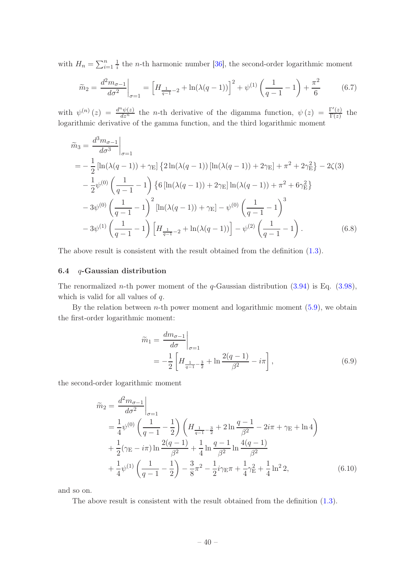with  $H_n = \sum_{i=1}^n \frac{1}{i}$  $\frac{1}{i}$  the *n*-th harmonic number [\[36\]](#page-47-7), the second-order logarithmic moment

$$
\widetilde{m}_2 = \frac{d^2 m_{\sigma - 1}}{d\sigma^2}\bigg|_{\sigma = 1} = \left[H_{\frac{1}{q-1} - 2} + \ln(\lambda(q-1))\right]^2 + \psi^{(1)}\left(\frac{1}{q-1} - 1\right) + \frac{\pi^2}{6} \tag{6.7}
$$

with  $\psi^{(n)}(z) = \frac{d^n \psi(z)}{dz^n}$  the *n*-th derivative of the digamma function,  $\psi(z) = \frac{\Gamma'(z)}{\Gamma(z)}$  $\frac{f(z)}{\Gamma(z)}$  the logarithmic derivative of the gamma function, and the third logarithmic moment

$$
\tilde{m}_3 = \frac{d^3 m_{\sigma - 1}}{d\sigma^3} \Big|_{\sigma = 1}
$$
\n
$$
= -\frac{1}{2} \left[ \ln(\lambda(q - 1)) + \gamma_{\rm E} \right] \left\{ 2\ln(\lambda(q - 1)) \left[ \ln(\lambda(q - 1)) + 2\gamma_{\rm E} \right] + \pi^2 + 2\gamma_{\rm E}^2 \right\} - 2\zeta(3)
$$
\n
$$
- \frac{1}{2} \psi^{(0)} \left( \frac{1}{q - 1} - 1 \right) \left\{ 6 \left[ \ln(\lambda(q - 1)) + 2\gamma_{\rm E} \right] \ln(\lambda(q - 1)) + \pi^2 + 6\gamma_{\rm E}^2 \right\}
$$
\n
$$
- 3\psi^{(0)} \left( \frac{1}{q - 1} - 1 \right)^2 \left[ \ln(\lambda(q - 1)) + \gamma_{\rm E} \right] - \psi^{(0)} \left( \frac{1}{q - 1} - 1 \right)^3
$$
\n
$$
- 3\psi^{(1)} \left( \frac{1}{q - 1} - 1 \right) \left[ H_{\frac{1}{q - 1} - 2} + \ln(\lambda(q - 1)) \right] - \psi^{(2)} \left( \frac{1}{q - 1} - 1 \right). \tag{6.8}
$$

<span id="page-41-0"></span>The above result is consistent with the result obtained from the definition [\(1.3\)](#page-3-1).

# 6.4  $q$ -Gaussian distribution

The renormalized *n*-th power moment of the *q*-Gaussian distribution  $(3.94)$  is Eq.  $(3.98)$ , which is valid for all values of  $q$ .

By the relation between  $n$ -th power moment and logarithmic moment  $(5.9)$ , we obtain the first-order logarithmic moment:

$$
\widetilde{m}_1 = \frac{dm_{\sigma-1}}{d\sigma}\Big|_{\sigma=1} \n= -\frac{1}{2} \left[ H_{\frac{1}{q-1} - \frac{3}{2}} + \ln \frac{2(q-1)}{\beta^2} - i\pi \right],
$$
\n(6.9)

the second-order logarithmic moment

$$
\widetilde{m}_2 = \frac{d^2 m_{\sigma - 1}}{d\sigma^2} \Big|_{\sigma = 1} \n= \frac{1}{4} \psi^{(0)} \left( \frac{1}{q - 1} - \frac{1}{2} \right) \left( H_{\frac{1}{q - 1} - \frac{3}{2}} + 2 \ln \frac{q - 1}{\beta^2} - 2i\pi + \gamma_{\rm E} + \ln 4 \right) \n+ \frac{1}{2} (\gamma_{\rm E} - i\pi) \ln \frac{2(q - 1)}{\beta^2} + \frac{1}{4} \ln \frac{q - 1}{\beta^2} \ln \frac{4(q - 1)}{\beta^2} \n+ \frac{1}{4} \psi^{(1)} \left( \frac{1}{q - 1} - \frac{1}{2} \right) - \frac{3}{8} \pi^2 - \frac{1}{2} i \gamma_{\rm E} \pi + \frac{1}{4} \gamma_{\rm E}^2 + \frac{1}{4} \ln^2 2,
$$
\n(6.10)

and so on.

The above result is consistent with the result obtained from the definition [\(1.3\)](#page-3-1).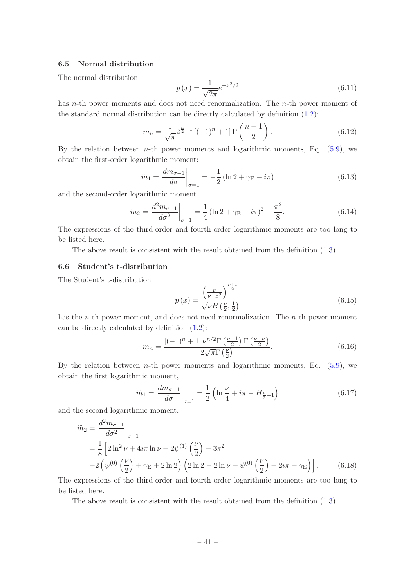# <span id="page-42-0"></span>6.5 Normal distribution

The normal distribution

$$
p(x) = \frac{1}{\sqrt{2\pi}} e^{-x^2/2}
$$
\n(6.11)

has n-th power moments and does not need renormalization. The n-th power moment of the standard normal distribution can be directly calculated by definition [\(1.2\)](#page-3-0):

$$
m_n = \frac{1}{\sqrt{\pi}} 2^{\frac{n}{2} - 1} \left[ (-1)^n + 1 \right] \Gamma \left( \frac{n+1}{2} \right). \tag{6.12}
$$

By the relation between *n*-th power moments and logarithmic moments, Eq.  $(5.9)$ , we obtain the first-order logarithmic moment:

$$
\widetilde{m}_1 = \frac{dm_{\sigma-1}}{d\sigma}\bigg|_{\sigma=1} = -\frac{1}{2} \left( \ln 2 + \gamma_{\rm E} - i\pi \right) \tag{6.13}
$$

and the second-order logarithmic moment

$$
\widetilde{m}_2 = \frac{d^2 m_{\sigma - 1}}{d\sigma^2} \bigg|_{\sigma = 1} = \frac{1}{4} \left( \ln 2 + \gamma_E - i\pi \right)^2 - \frac{\pi^2}{8}.
$$
\n(6.14)

The expressions of the third-order and fourth-order logarithmic moments are too long to be listed here.

The above result is consistent with the result obtained from the definition [\(1.3\)](#page-3-1).

# <span id="page-42-1"></span>6.6 Student's t-distribution

The Student's t-distribution

$$
p(x) = \frac{\left(\frac{\nu}{\nu + x^2}\right)^{\frac{\nu+1}{2}}}{\sqrt{\nu}B\left(\frac{\nu}{2}, \frac{1}{2}\right)}
$$
(6.15)

has the *n*-th power moment, and does not need renormalization. The *n*-th power moment can be directly calculated by definition [\(1.2\)](#page-3-0):

$$
m_n = \frac{\left[(-1)^n + 1\right]\nu^{n/2}\Gamma\left(\frac{n+1}{2}\right)\Gamma\left(\frac{\nu - n}{2}\right)}{2\sqrt{\pi}\Gamma\left(\frac{\nu}{2}\right)}.\tag{6.16}
$$

By the relation between *n*-th power moments and logarithmic moments, Eq.  $(5.9)$ , we obtain the first logarithmic moment,

$$
\widetilde{m}_1 = \frac{dm_{\sigma-1}}{d\sigma} \bigg|_{\sigma=1} = \frac{1}{2} \left( \ln \frac{\nu}{4} + i\pi - H_{\frac{\nu}{2}-1} \right) \tag{6.17}
$$

and the second logarithmic moment,

$$
\tilde{m}_2 = \frac{d^2 m_{\sigma - 1}}{d\sigma^2} \Big|_{\sigma = 1} \n= \frac{1}{8} \left[ 2 \ln^2 \nu + 4i\pi \ln \nu + 2\psi^{(1)} \left( \frac{\nu}{2} \right) - 3\pi^2 \n+ 2 \left( \psi^{(0)} \left( \frac{\nu}{2} \right) + \gamma_E + 2 \ln 2 \right) \left( 2 \ln 2 - 2 \ln \nu + \psi^{(0)} \left( \frac{\nu}{2} \right) - 2i\pi + \gamma_E \right) \right].
$$
\n(6.18)

The expressions of the third-order and fourth-order logarithmic moments are too long to be listed here.

The above result is consistent with the result obtained from the definition [\(1.3\)](#page-3-1).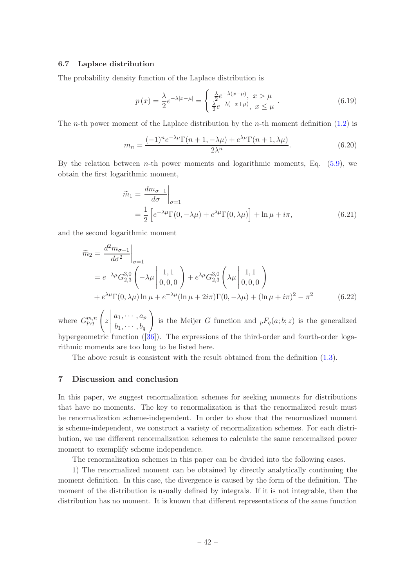# <span id="page-43-0"></span>6.7 Laplace distribution

The probability density function of the Laplace distribution is

$$
p(x) = \frac{\lambda}{2} e^{-\lambda|x-\mu|} = \begin{cases} \frac{\lambda}{2} e^{-\lambda(x-\mu)}, & x > \mu \\ \frac{\lambda}{2} e^{-\lambda(-x+\mu)}, & x \le \mu \end{cases} . \tag{6.19}
$$

The *n*-th power moment of the Laplace distribution by the *n*-th moment definition  $(1.2)$  is

$$
m_n = \frac{(-1)^n e^{-\lambda \mu} \Gamma(n+1, -\lambda \mu) + e^{\lambda \mu} \Gamma(n+1, \lambda \mu)}{2\lambda^n}.
$$
 (6.20)

By the relation between *n*-th power moments and logarithmic moments, Eq.  $(5.9)$ , we obtain the first logarithmic moment,

$$
\widetilde{m}_1 = \frac{dm_{\sigma-1}}{d\sigma}\Big|_{\sigma=1}
$$
  
=  $\frac{1}{2} \left[ e^{-\lambda \mu} \Gamma(0, -\lambda \mu) + e^{\lambda \mu} \Gamma(0, \lambda \mu) \right] + \ln \mu + i\pi,$  (6.21)

and the second logarithmic moment

$$
\widetilde{m}_2 = \frac{d^2 m_{\sigma - 1}}{d\sigma^2}\Big|_{\sigma = 1} \n= e^{-\lambda \mu} G_{2,3}^{3,0} \left( -\lambda \mu \left| \begin{array}{c} 1,1 \\ 0,0,0 \end{array} \right| + e^{\lambda \mu} G_{2,3}^{3,0} \left( \lambda \mu \left| \begin{array}{c} 1,1 \\ 0,0,0 \end{array} \right| \right) \n+ e^{\lambda \mu} \Gamma(0, \lambda \mu) \ln \mu + e^{-\lambda \mu} (\ln \mu + 2i\pi) \Gamma(0, -\lambda \mu) + (\ln \mu + i\pi)^2 - \pi^2
$$
\n(6.22)

where  $G_{p,q}^{m,n}$   $\left(z\right)$  $\begin{array}{c} \begin{array}{c} \begin{array}{c} \begin{array}{c} \end{array}\\ \end{array} \end{array} \end{array} \end{array}$  $a_1, \cdots, a_p$  $b_1, \cdots, b_q$  $\setminus$ is the Meijer G function and  ${}_{p}F_{q}(a;b;z)$  is the generalized hypergeometric function ([\[36](#page-47-7)]). The expressions of the third-order and fourth-order logarithmic moments are too long to be listed here.

The above result is consistent with the result obtained from the definition [\(1.3\)](#page-3-1).

# <span id="page-43-1"></span>7 Discussion and conclusion

In this paper, we suggest renormalization schemes for seeking moments for distributions that have no moments. The key to renormalization is that the renormalized result must be renormalization scheme-independent. In order to show that the renormalized moment is scheme-independent, we construct a variety of renormalization schemes. For each distribution, we use different renormalization schemes to calculate the same renormalized power moment to exemplify scheme independence.

The renormalization schemes in this paper can be divided into the following cases.

1) The renormalized moment can be obtained by directly analytically continuing the moment definition. In this case, the divergence is caused by the form of the definition. The moment of the distribution is usually defined by integrals. If it is not integrable, then the distribution has no moment. It is known that different representations of the same function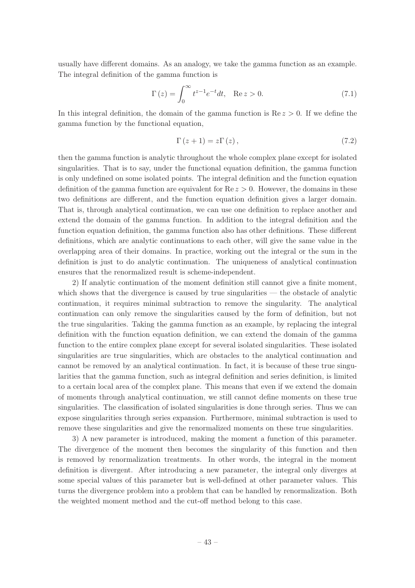usually have different domains. As an analogy, we take the gamma function as an example. The integral definition of the gamma function is

$$
\Gamma(z) = \int_0^\infty t^{z-1} e^{-t} dt, \quad \text{Re } z > 0.
$$
\n(7.1)

In this integral definition, the domain of the gamma function is  $\text{Re } z > 0$ . If we define the gamma function by the functional equation,

$$
\Gamma(z+1) = z\Gamma(z),\tag{7.2}
$$

then the gamma function is analytic throughout the whole complex plane except for isolated singularities. That is to say, under the functional equation definition, the gamma function is only undefined on some isolated points. The integral definition and the function equation definition of the gamma function are equivalent for  $\text{Re} z > 0$ . However, the domains in these two definitions are different, and the function equation definition gives a larger domain. That is, through analytical continuation, we can use one definition to replace another and extend the domain of the gamma function. In addition to the integral definition and the function equation definition, the gamma function also has other definitions. These different definitions, which are analytic continuations to each other, will give the same value in the overlapping area of their domains. In practice, working out the integral or the sum in the definition is just to do analytic continuation. The uniqueness of analytical continuation ensures that the renormalized result is scheme-independent.

2) If analytic continuation of the moment definition still cannot give a finite moment, which shows that the divergence is caused by true singularities — the obstacle of analytic continuation, it requires minimal subtraction to remove the singularity. The analytical continuation can only remove the singularities caused by the form of definition, but not the true singularities. Taking the gamma function as an example, by replacing the integral definition with the function equation definition, we can extend the domain of the gamma function to the entire complex plane except for several isolated singularities. These isolated singularities are true singularities, which are obstacles to the analytical continuation and cannot be removed by an analytical continuation. In fact, it is because of these true singularities that the gamma function, such as integral definition and series definition, is limited to a certain local area of the complex plane. This means that even if we extend the domain of moments through analytical continuation, we still cannot define moments on these true singularities. The classification of isolated singularities is done through series. Thus we can expose singularities through series expansion. Furthermore, minimal subtraction is used to remove these singularities and give the renormalized moments on these true singularities.

3) A new parameter is introduced, making the moment a function of this parameter. The divergence of the moment then becomes the singularity of this function and then is removed by renormalization treatments. In other words, the integral in the moment definition is divergent. After introducing a new parameter, the integral only diverges at some special values of this parameter but is well-defined at other parameter values. This turns the divergence problem into a problem that can be handled by renormalization. Both the weighted moment method and the cut-off method belong to this case.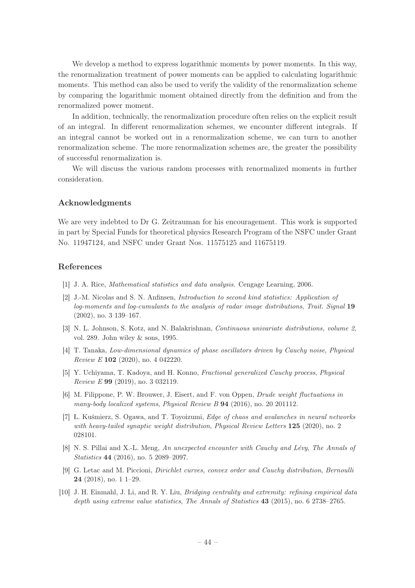We develop a method to express logarithmic moments by power moments. In this way, the renormalization treatment of power moments can be applied to calculating logarithmic moments. This method can also be used to verify the validity of the renormalization scheme by comparing the logarithmic moment obtained directly from the definition and from the renormalized power moment.

In addition, technically, the renormalization procedure often relies on the explicit result of an integral. In different renormalization schemes, we encounter different integrals. If an integral cannot be worked out in a renormalization scheme, we can turn to another renormalization scheme. The more renormalization schemes are, the greater the possibility of successful renormalization is.

We will discuss the various random processes with renormalized moments in further consideration.

# Acknowledgments

We are very indebted to Dr G. Zeitrauman for his encouragement. This work is supported in part by Special Funds for theoretical physics Research Program of the NSFC under Grant No. 11947124, and NSFC under Grant Nos. 11575125 and 11675119.

# References

- <span id="page-45-0"></span>[1] J. A. Rice, *Mathematical statistics and data analysis*. Cengage Learning, 2006.
- <span id="page-45-1"></span>[2] J.-M. Nicolas and S. N. Anfinsen, Introduction to second kind statistics: Application of log-moments and log-cumulants to the analysis of radar image distributions, Trait. Signal 19 (2002), no. 3 139–167.
- <span id="page-45-2"></span>[3] N. L. Johnson, S. Kotz, and N. Balakrishnan, Continuous univariate distributions, volume 2, vol. 289. John wiley & sons, 1995.
- <span id="page-45-3"></span>[4] T. Tanaka, Low-dimensional dynamics of phase oscillators driven by Cauchy noise, Physical Review E 102 (2020), no. 4 042220.
- <span id="page-45-4"></span>[5] Y. Uchiyama, T. Kadoya, and H. Konno, Fractional generalized Cauchy process, Physical Review E 99 (2019), no. 3 032119.
- <span id="page-45-5"></span>[6] M. Filippone, P. W. Brouwer, J. Eisert, and F. von Oppen, Drude weight fluctuations in many-body localized systems, Physical Review B 94 (2016), no. 20 201112.
- <span id="page-45-6"></span>[7] Ł. Kuśmierz, S. Ogawa, and T. Toyoizumi, Edge of chaos and avalanches in neural networks with heavy-tailed synaptic weight distribution, Physical Review Letters 125 (2020), no. 2 028101.
- <span id="page-45-7"></span>[8] N. S. Pillai and X.-L. Meng, An unexpected encounter with Cauchy and Lévy, The Annals of Statistics 44 (2016), no. 5 2089–2097.
- <span id="page-45-8"></span>[9] G. Letac and M. Piccioni, Dirichlet curves, convex order and Cauchy distribution, Bernoulli 24 (2018), no. 1 1–29.
- <span id="page-45-9"></span>[10] J. H. Einmahl, J. Li, and R. Y. Liu, *Bridging centrality and extremity: refining empirical data* depth using extreme value statistics, The Annals of Statistics 43 (2015), no. 6 2738–2765.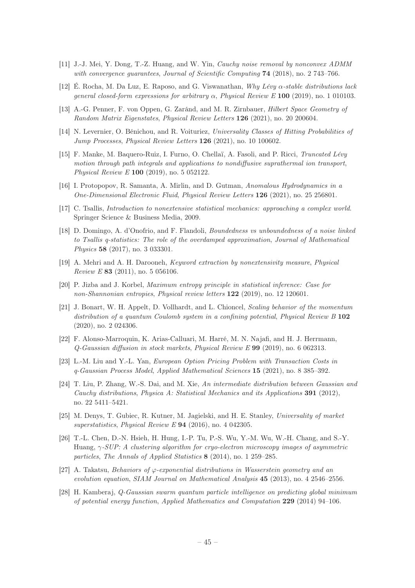- <span id="page-46-0"></span>[11] J.-J. Mei, Y. Dong, T.-Z. Huang, and W. Yin, Cauchy noise removal by nonconvex ADMM with convergence quarantees, Journal of Scientific Computing **74** (2018), no. 2 743–766.
- <span id="page-46-1"></span>[12] É. Rocha, M. Da Luz, E. Raposo, and G. Viswanathan, Why Lévy  $\alpha$ -stable distributions lack qeneral closed-form expressions for arbitrary  $\alpha$ , Physical Review E 100 (2019), no. 1 010103.
- <span id="page-46-2"></span>[13] A.-G. Penner, F. von Oppen, G. Zaránd, and M. R. Zirnbauer, Hilbert Space Geometry of Random Matrix Eigenstates, Physical Review Letters 126 (2021), no. 20 200604.
- <span id="page-46-3"></span>[14] N. Levernier, O. Bénichou, and R. Voituriez, Universality Classes of Hitting Probabilities of Jump Processes, Physical Review Letters 126 (2021), no. 10 100602.
- <span id="page-46-4"></span>[15] F. Manke, M. Baquero-Ruiz, I. Furno, O. Chellaï, A. Fasoli, and P. Ricci, Truncated Lévy motion through path integrals and applications to nondiffusive suprathermal ion transport, Physical Review E 100 (2019), no. 5 052122.
- <span id="page-46-5"></span>[16] I. Protopopov, R. Samanta, A. Mirlin, and D. Gutman, Anomalous Hydrodynamics in a One-Dimensional Electronic Fluid, Physical Review Letters 126 (2021), no. 25 256801.
- <span id="page-46-6"></span>[17] C. Tsallis, Introduction to nonextensive statistical mechanics: approaching a complex world. Springer Science & Business Media, 2009.
- <span id="page-46-7"></span>[18] D. Domingo, A. d'Onofrio, and F. Flandoli, Boundedness vs unboundedness of a noise linked to Tsallis q-statistics: The role of the overdamped approximation, Journal of Mathematical Physics 58 (2017), no. 3 033301.
- <span id="page-46-8"></span>[19] A. Mehri and A. H. Darooneh, Keyword extraction by nonextensivity measure, Physical Review E 83 (2011), no. 5 056106.
- <span id="page-46-9"></span>[20] P. Jizba and J. Korbel, Maximum entropy principle in statistical inference: Case for non-Shannonian entropies, Physical review letters 122 (2019), no. 12 120601.
- <span id="page-46-10"></span>[21] J. Bonart, W. H. Appelt, D. Vollhardt, and L. Chioncel, Scaling behavior of the momentum distribution of a quantum Coulomb system in a confining potential, Physical Review B 102 (2020), no. 2 024306.
- <span id="page-46-11"></span>[22] F. Alonso-Marroquin, K. Arias-Calluari, M. Harré, M. N. Najafi, and H. J. Herrmann, Q-Gaussian diffusion in stock markets, Physical Review E 99 (2019), no. 6 062313.
- [23] L.-M. Liu and Y.-L. Yan, European Option Pricing Problem with Transaction Costs in q-Gaussian Process Model, Applied Mathematical Sciences 15 (2021), no. 8 385–392.
- <span id="page-46-16"></span>[24] T. Liu, P. Zhang, W.-S. Dai, and M. Xie, An intermediate distribution between Gaussian and Cauchy distributions, Physica A: Statistical Mechanics and its Applications 391 (2012), no. 22 5411–5421.
- <span id="page-46-12"></span>[25] M. Denys, T. Gubiec, R. Kutner, M. Jagielski, and H. E. Stanley, Universality of market superstatistics, Physical Review E  $94$  (2016), no. 4 042305.
- <span id="page-46-13"></span>[26] T.-L. Chen, D.-N. Hsieh, H. Hung, I.-P. Tu, P.-S. Wu, Y.-M. Wu, W.-H. Chang, and S.-Y. Huang, γ-SUP: A clustering algorithm for cryo-electron microscopy images of asymmetric particles, The Annals of Applied Statistics 8 (2014), no. 1 259–285.
- <span id="page-46-14"></span>[27] A. Takatsu, Behaviors of  $\varphi$ -exponential distributions in Wasserstein geometry and an evolution equation, SIAM Journal on Mathematical Analysis 45 (2013), no. 4 2546–2556.
- <span id="page-46-15"></span>[28] H. Kamberaj, Q-Gaussian swarm quantum particle intelligence on predicting global minimum of potential energy function, Applied Mathematics and Computation 229 (2014) 94–106.